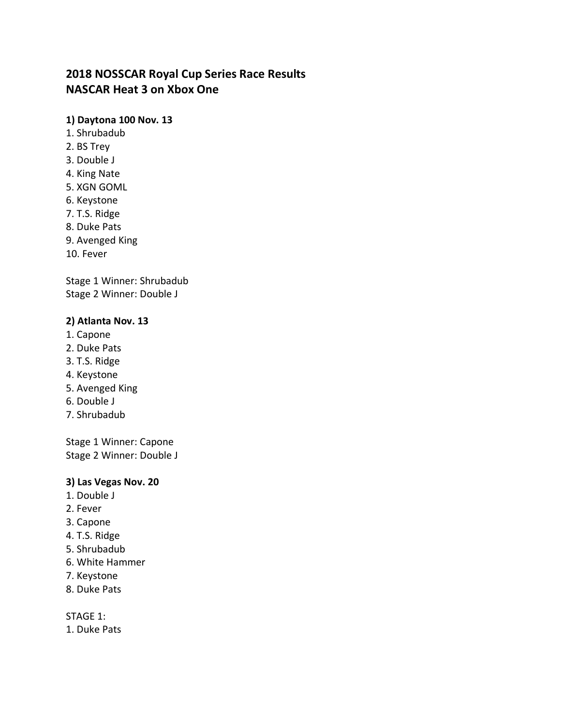# **2018 NOSSCAR Royal Cup Series Race Results NASCAR Heat 3 on Xbox One**

# **1) Daytona 100 Nov. 13**

- 1. Shrubadub
- 2. BS Trey
- 3. Double J
- 4. King Nate
- 5. XGN GOML
- 6. Keystone
- 7. T.S. Ridge
- 8. Duke Pats
- 9. Avenged King
- 10. Fever

Stage 1 Winner: Shrubadub Stage 2 Winner: Double J

# **2) Atlanta Nov. 13**

- 1. Capone
- 2. Duke Pats
- 3. T.S. Ridge
- 4. Keystone
- 5. Avenged King
- 6. Double J
- 7. Shrubadub

Stage 1 Winner: Capone Stage 2 Winner: Double J

### **3) Las Vegas Nov. 20**

- 1. Double J
- 2. Fever
- 3. Capone
- 4. T.S. Ridge
- 5. Shrubadub
- 6. White Hammer
- 7. Keystone
- 8. Duke Pats

STAGE 1:

1. Duke Pats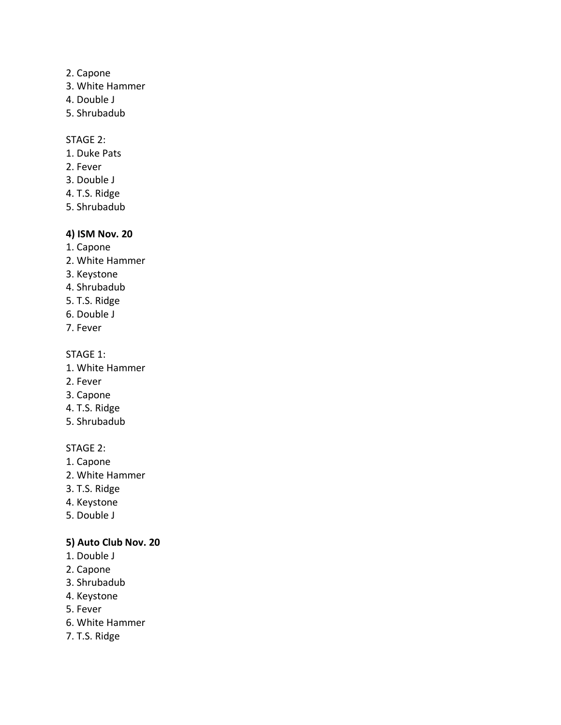- 2. Capone
- 3. White Hammer
- 4. Double J
- 5. Shrubadub

#### STAGE 2:

- 1. Duke Pats
- 2. Fever
- 3. Double J
- 4. T.S. Ridge
- 5. Shrubadub

# **4) ISM Nov. 20**

- 1. Capone
- 2. White Hammer
- 3. Keystone
- 4. Shrubadub
- 5. T.S. Ridge
- 6. Double J
- 7. Fever

### STAGE 1:

- 1. White Hammer
- 2. Fever
- 3. Capone
- 4. T.S. Ridge
- 5. Shrubadub

# STAGE 2:

- 1. Capone
- 2. White Hammer
- 3. T.S. Ridge
- 4. Keystone
- 5. Double J

# **5) Auto Club Nov. 20**

- 1. Double J
- 2. Capone
- 3. Shrubadub
- 4. Keystone
- 5. Fever
- 6. White Hammer
- 7. T.S. Ridge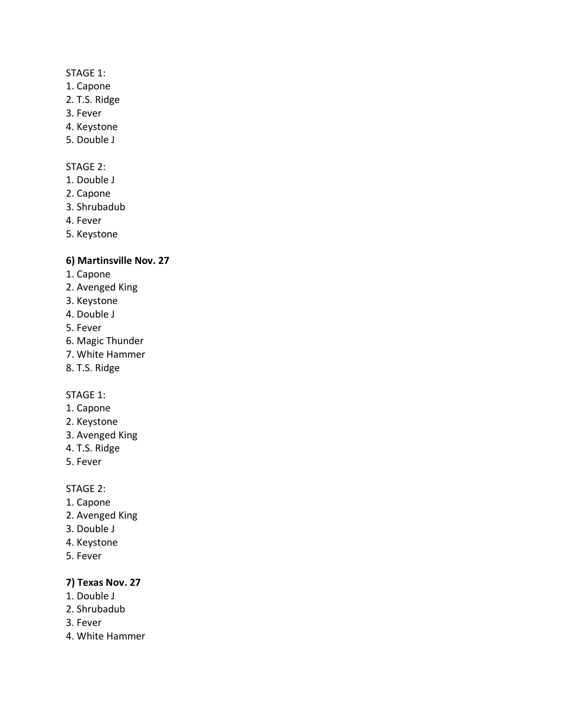### STAGE 1:

- 1. Capone
- 2. T.S. Ridge
- 3. Fever
- 4. Keystone
- 5. Double J

### STAGE 2:

- 1. Double J
- 2. Capone
- 3. Shrubadub
- 4. Fever
- 5. Keystone

# **6) Martinsville Nov. 27**

- 1. Capone
- 2. Avenged King
- 3. Keystone
- 4. Double J
- 5. Fever
- 6. Magic Thunder
- 7. White Hammer
- 8. T.S. Ridge

### STAGE 1:

- 1. Capone
- 2. Keystone
- 3. Avenged King
- 4. T.S. Ridge
- 5. Fever

### STAGE 2:

- 1. Capone
- 2. Avenged King
- 3. Double J
- 4. Keystone
- 5. Fever

### **7) Texas Nov. 27**

- 1. Double J
- 2. Shrubadub
- 3. Fever
- 4. White Hammer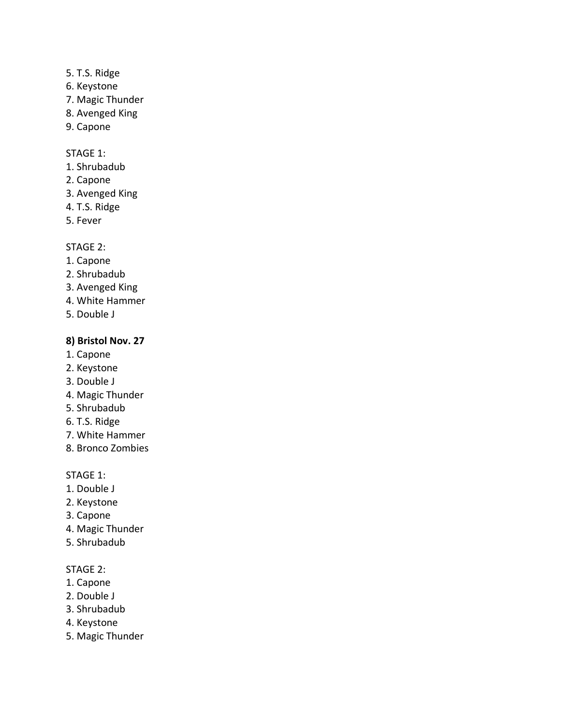- 5. T.S. Ridge
- 6. Keystone
- 7. Magic Thunder
- 8. Avenged King
- 9. Capone

# STAGE 1:

- 1. Shrubadub
- 2. Capone
- 3. Avenged King
- 4. T.S. Ridge
- 5. Fever

# STAGE 2:

- 1. Capone
- 2. Shrubadub
- 3. Avenged King
- 4. White Hammer
- 5. Double J

# **8) Bristol Nov. 27**

- 1. Capone
- 2. Keystone
- 3. Double J
- 4. Magic Thunder
- 5. Shrubadub
- 6. T.S. Ridge
- 7. White Hammer
- 8. Bronco Zombies

STAGE 1:

- 1. Double J
- 2. Keystone
- 3. Capone
- 4. Magic Thunder
- 5. Shrubadub

- 1. Capone
- 2. Double J
- 3. Shrubadub
- 4. Keystone
- 5. Magic Thunder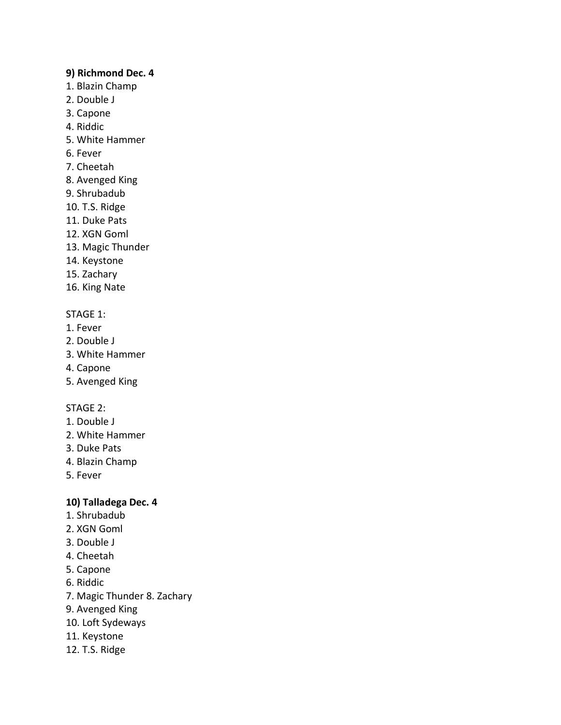#### **9) Richmond Dec. 4**

- 1. Blazin Champ
- 2. Double J
- 3. Capone
- 4. Riddic
- 5. White Hammer
- 6. Fever
- 7. Cheetah
- 8. Avenged King
- 9. Shrubadub
- 10. T.S. Ridge
- 11. Duke Pats
- 12. XGN Goml
- 13. Magic Thunder
- 14. Keystone
- 15. Zachary
- 16. King Nate

# STAGE 1:

- 1. Fever
- 2. Double J
- 3. White Hammer
- 4. Capone
- 5. Avenged King

### STAGE 2:

- 1. Double J
- 2. White Hammer
- 3. Duke Pats
- 4. Blazin Champ
- 5. Fever

### **10) Talladega Dec. 4**

- 1. Shrubadub
- 2. XGN Goml
- 3. Double J
- 4. Cheetah
- 5. Capone
- 6. Riddic
- 7. Magic Thunder 8. Zachary
- 9. Avenged King
- 10. Loft Sydeways
- 11. Keystone
- 12. T.S. Ridge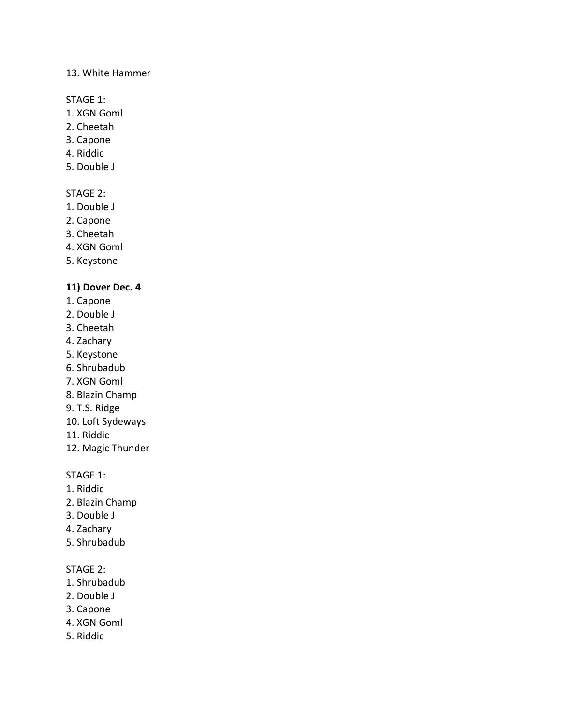#### 13. White Hammer

STAGE 1:

- 1. XGN Goml
- 2. Cheetah
- 3. Capone
- 4. Riddic
- 5. Double J

### STAGE 2:

- 1. Double J
- 2. Capone
- 3. Cheetah
- 4. XGN Goml
- 5. Keystone

# **11) Dover Dec. 4**

- 1. Capone
- 2. Double J
- 3. Cheetah
- 4. Zachary
- 5. Keystone
- 6. Shrubadub
- 7. XGN Goml
- 8. Blazin Champ
- 9. T.S. Ridge
- 10. Loft Sydeways
- 11. Riddic
- 12. Magic Thunder

STAGE 1:

- 1. Riddic
- 2. Blazin Champ
- 3. Double J
- 4. Zachary
- 5. Shrubadub

- 1. Shrubadub
- 2. Double J
- 3. Capone
- 4. XGN Goml
- 5. Riddic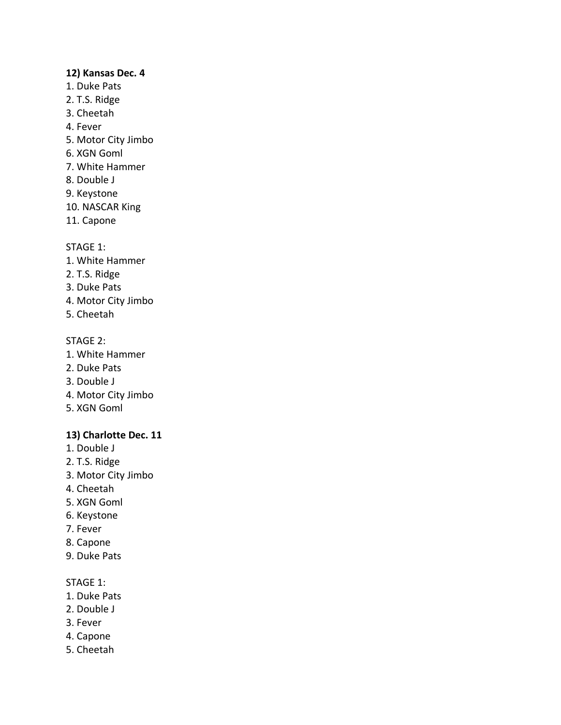#### **12) Kansas Dec. 4**

- 1. Duke Pats
- 2. T.S. Ridge
- 3. Cheetah
- 4. Fever
- 5. Motor City Jimbo
- 6. XGN Goml
- 7. White Hammer
- 8. Double J
- 9. Keystone
- 10. NASCAR King
- 11. Capone

### STAGE 1:

- 1. White Hammer
- 2. T.S. Ridge
- 3. Duke Pats
- 4. Motor City Jimbo
- 5. Cheetah

# STAGE 2:

- 1. White Hammer
- 2. Duke Pats
- 3. Double J
- 4. Motor City Jimbo
- 5. XGN Goml

# **13) Charlotte Dec. 11**

- 1. Double J
- 2. T.S. Ridge
- 3. Motor City Jimbo
- 4. Cheetah
- 5. XGN Goml
- 6. Keystone
- 7. Fever
- 8. Capone
- 9. Duke Pats

#### STAGE 1:

- 1. Duke Pats
- 2. Double J
- 3. Fever
- 4. Capone
- 5. Cheetah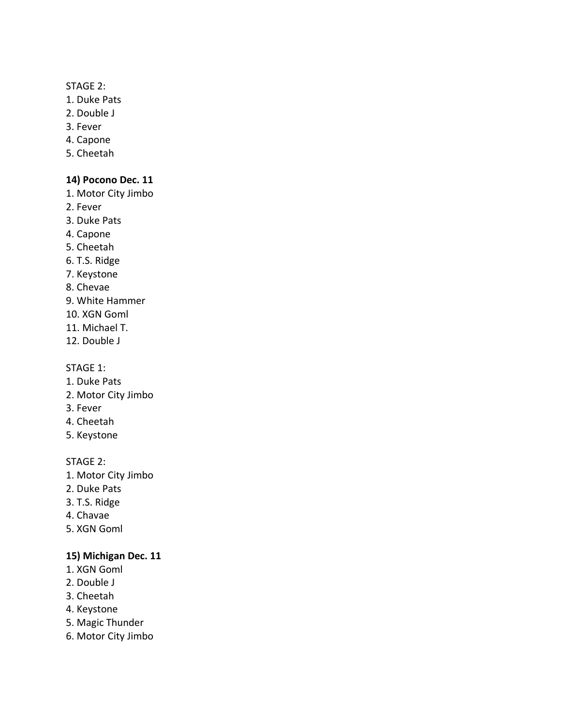#### STAGE 2:

- 1. Duke Pats
- 2. Double J
- 3. Fever
- 4. Capone
- 5. Cheetah

### **14) Pocono Dec. 11**

- 1. Motor City Jimbo
- 2. Fever
- 3. Duke Pats
- 4. Capone
- 5. Cheetah
- 6. T.S. Ridge
- 7. Keystone
- 8. Chevae
- 9. White Hammer
- 10. XGN Goml
- 11. Michael T.
- 12. Double J

#### STAGE 1:

- 1. Duke Pats
- 2. Motor City Jimbo
- 3. Fever
- 4. Cheetah
- 5. Keystone

#### STAGE 2:

- 1. Motor City Jimbo
- 2. Duke Pats
- 3. T.S. Ridge
- 4. Chavae
- 5. XGN Goml

### **15) Michigan Dec. 11**

- 1. XGN Goml
- 2. Double J
- 3. Cheetah
- 4. Keystone
- 5. Magic Thunder
- 6. Motor City Jimbo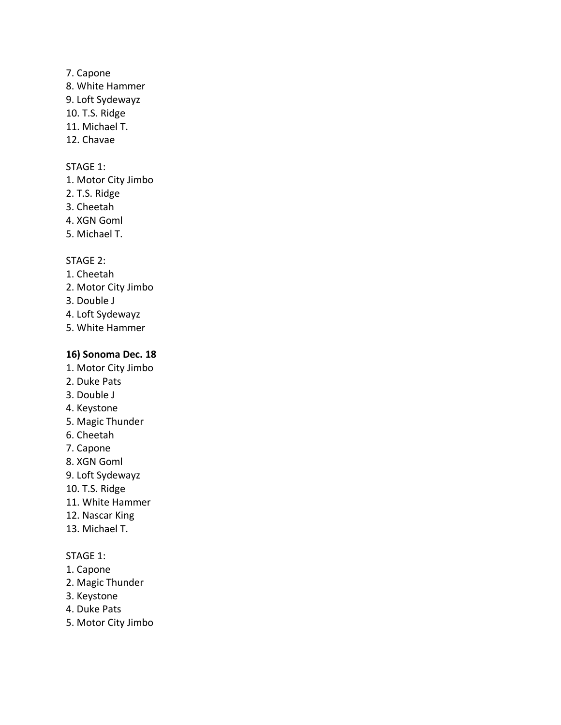### 7. Capone

- 8. White Hammer
- 9. Loft Sydewayz
- 10. T.S. Ridge
- 11. Michael T.
- 12. Chavae

### STAGE 1:

- 1. Motor City Jimbo
- 2. T.S. Ridge
- 3. Cheetah
- 4. XGN Goml
- 5. Michael T.

# STAGE 2:

- 1. Cheetah
- 2. Motor City Jimbo
- 3. Double J
- 4. Loft Sydewayz
- 5. White Hammer

# **16) Sonoma Dec. 18**

- 1. Motor City Jimbo
- 2. Duke Pats
- 3. Double J
- 4. Keystone
- 5. Magic Thunder
- 6. Cheetah
- 7. Capone
- 8. XGN Goml
- 9. Loft Sydewayz
- 10. T.S. Ridge
- 11. White Hammer
- 12. Nascar King
- 13. Michael T.

# STAGE 1:

- 1. Capone
- 2. Magic Thunder
- 3. Keystone
- 4. Duke Pats
- 5. Motor City Jimbo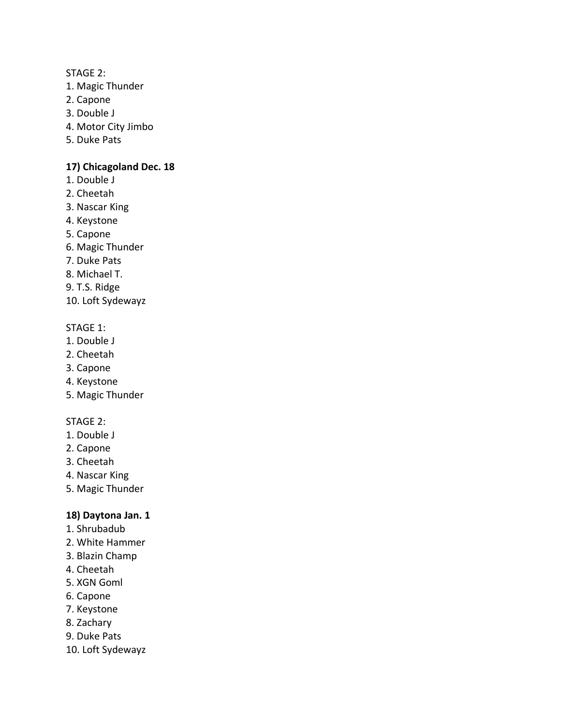#### STAGE 2:

- 1. Magic Thunder
- 2. Capone
- 3. Double J
- 4. Motor City Jimbo
- 5. Duke Pats

### **17) Chicagoland Dec. 18**

- 1. Double J
- 2. Cheetah
- 3. Nascar King
- 4. Keystone
- 5. Capone
- 6. Magic Thunder
- 7. Duke Pats
- 8. Michael T.
- 9. T.S. Ridge
- 10. Loft Sydewayz

# STAGE 1:

- 1. Double J
- 2. Cheetah
- 3. Capone
- 4. Keystone
- 5. Magic Thunder

# STAGE 2:

- 1. Double J
- 2. Capone
- 3. Cheetah
- 4. Nascar King
- 5. Magic Thunder

# **18) Daytona Jan. 1**

- 1. Shrubadub
- 2. White Hammer
- 3. Blazin Champ
- 4. Cheetah
- 5. XGN Goml
- 6. Capone
- 7. Keystone
- 8. Zachary
- 9. Duke Pats
- 10. Loft Sydewayz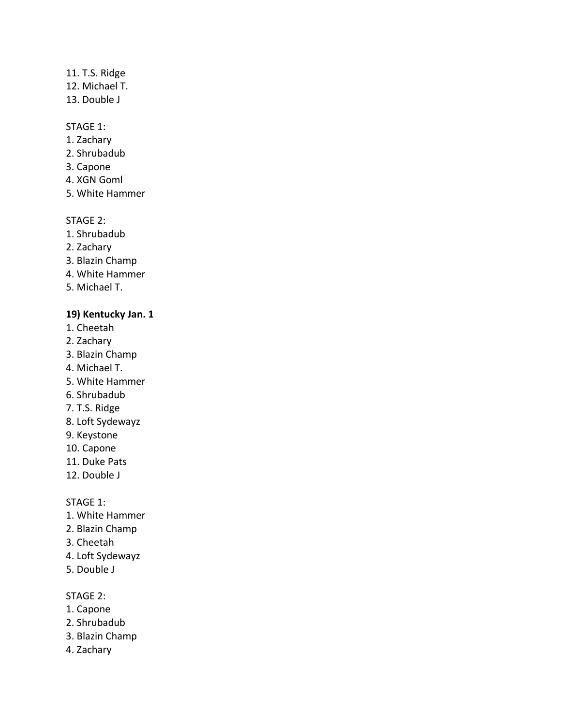### 11. T.S. Ridge

- 12. Michael T.
- 13. Double J

### STAGE 1:

- 1. Zachary
- 2. Shrubadub
- 3. Capone
- 4. XGN Goml
- 5. White Hammer

#### STAGE 2:

- 1. Shrubadub
- 2. Zachary
- 3. Blazin Champ
- 4. White Hammer
- 5. Michael T.

### **19) Kentucky Jan. 1**

- 1. Cheetah
- 2. Zachary
- 3. Blazin Champ
- 4. Michael T.
- 5. White Hammer
- 6. Shrubadub
- 7. T.S. Ridge
- 8. Loft Sydewayz
- 9. Keystone
- 10. Capone
- 11. Duke Pats
- 12. Double J

STAGE 1:

- 1. White Hammer
- 2. Blazin Champ
- 3. Cheetah
- 4. Loft Sydewayz
- 5. Double J

- 1. Capone
- 2. Shrubadub
- 3. Blazin Champ
- 4. Zachary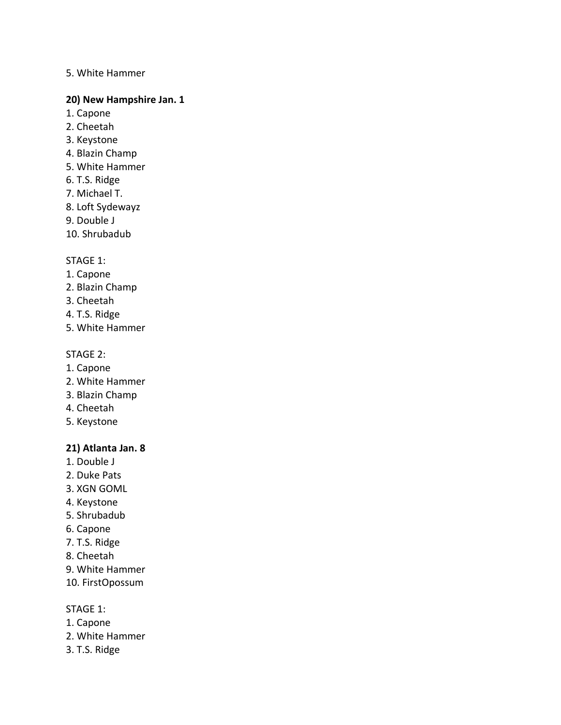#### 5. White Hammer

#### **20) New Hampshire Jan. 1**

- 1. Capone
- 2. Cheetah
- 3. Keystone
- 4. Blazin Champ
- 5. White Hammer
- 6. T.S. Ridge
- 7. Michael T.
- 8. Loft Sydewayz
- 9. Double J
- 10. Shrubadub

#### STAGE 1:

- 1. Capone
- 2. Blazin Champ
- 3. Cheetah
- 4. T.S. Ridge
- 5. White Hammer

#### STAGE 2:

- 1. Capone
- 2. White Hammer
- 3. Blazin Champ
- 4. Cheetah
- 5. Keystone

### **21) Atlanta Jan. 8**

- 1. Double J
- 2. Duke Pats
- 3. XGN GOML
- 4. Keystone
- 5. Shrubadub
- 6. Capone
- 7. T.S. Ridge
- 8. Cheetah
- 9. White Hammer
- 10. FirstOpossum

#### STAGE 1:

- 1. Capone
- 2. White Hammer
- 3. T.S. Ridge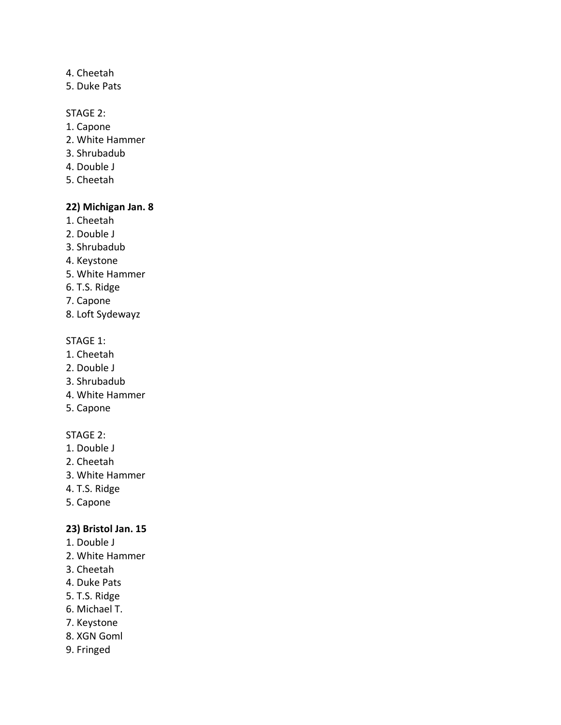# 4. Cheetah

5. Duke Pats

# STAGE 2:

- 1. Capone
- 2. White Hammer
- 3. Shrubadub
- 4. Double J
- 5. Cheetah

# **22) Michigan Jan. 8**

- 1. Cheetah
- 2. Double J
- 3. Shrubadub
- 4. Keystone
- 5. White Hammer
- 6. T.S. Ridge
- 7. Capone
- 8. Loft Sydewayz

#### STAGE 1:

- 1. Cheetah
- 2. Double J
- 3. Shrubadub
- 4. White Hammer
- 5. Capone

### STAGE 2:

- 1. Double J
- 2. Cheetah
- 3. White Hammer
- 4. T.S. Ridge
- 5. Capone

### **23) Bristol Jan. 15**

- 1. Double J
- 2. White Hammer
- 3. Cheetah
- 4. Duke Pats
- 5. T.S. Ridge
- 6. Michael T.
- 7. Keystone
- 8. XGN Goml
- 9. Fringed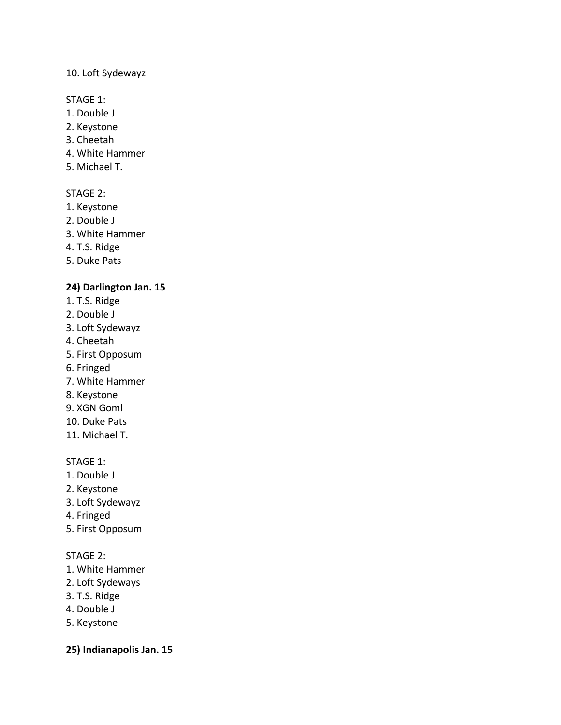#### 10. Loft Sydewayz

#### STAGE 1:

- 1. Double J
- 2. Keystone
- 3. Cheetah
- 4. White Hammer
- 5. Michael T.

# STAGE 2:

- 1. Keystone
- 2. Double J
- 3. White Hammer
- 4. T.S. Ridge
- 5. Duke Pats

# **24) Darlington Jan. 15**

- 1. T.S. Ridge
- 2. Double J
- 3. Loft Sydewayz
- 4. Cheetah
- 5. First Opposum
- 6. Fringed
- 7. White Hammer
- 8. Keystone
- 9. XGN Goml
- 10. Duke Pats
- 11. Michael T.

### STAGE 1:

- 1. Double J
- 2. Keystone
- 3. Loft Sydewayz
- 4. Fringed
- 5. First Opposum

# STAGE 2:

- 1. White Hammer
- 2. Loft Sydeways
- 3. T.S. Ridge
- 4. Double J
- 5. Keystone

**25) Indianapolis Jan. 15**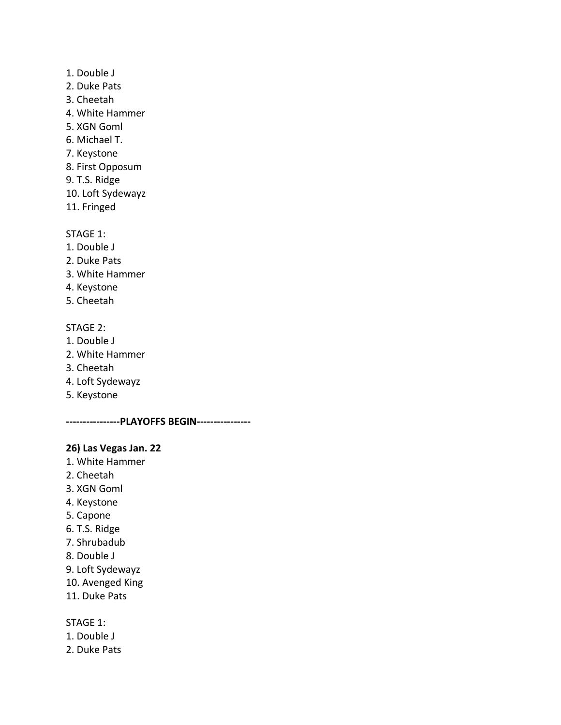- 1. Double J
- 2. Duke Pats
- 3. Cheetah
- 4. White Hammer
- 5. XGN Goml
- 6. Michael T.
- 7. Keystone
- 8. First Opposum
- 9. T.S. Ridge
- 10. Loft Sydewayz
- 11. Fringed

STAGE 1:

- 1. Double J
- 2. Duke Pats
- 3. White Hammer
- 4. Keystone
- 5. Cheetah

#### STAGE 2:

- 1. Double J
- 2. White Hammer
- 3. Cheetah
- 4. Loft Sydewayz
- 5. Keystone

**----------------PLAYOFFS BEGIN----------------**

### **26) Las Vegas Jan. 22**

- 1. White Hammer
- 2. Cheetah
- 3. XGN Goml
- 4. Keystone
- 5. Capone
- 6. T.S. Ridge
- 7. Shrubadub
- 8. Double J
- 9. Loft Sydewayz
- 10. Avenged King
- 11. Duke Pats

#### STAGE 1:

- 1. Double J
- 2. Duke Pats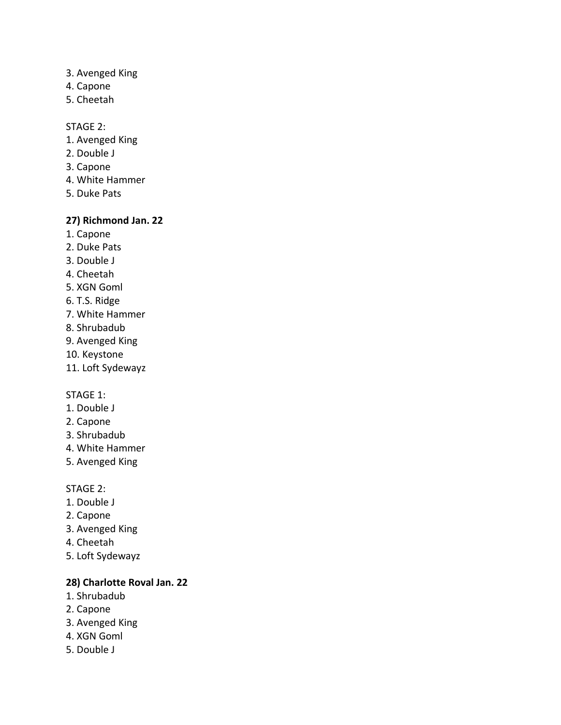- 3. Avenged King
- 4. Capone
- 5. Cheetah

#### STAGE 2:

- 1. Avenged King
- 2. Double J
- 3. Capone
- 4. White Hammer
- 5. Duke Pats

#### **27) Richmond Jan. 22**

- 1. Capone
- 2. Duke Pats
- 3. Double J
- 4. Cheetah
- 5. XGN Goml
- 6. T.S. Ridge
- 7. White Hammer
- 8. Shrubadub
- 9. Avenged King
- 10. Keystone
- 11. Loft Sydewayz

### STAGE 1:

- 1. Double J
- 2. Capone
- 3. Shrubadub
- 4. White Hammer
- 5. Avenged King

#### STAGE 2:

- 1. Double J
- 2. Capone
- 3. Avenged King
- 4. Cheetah
- 5. Loft Sydewayz

# **28) Charlotte Roval Jan. 22**

- 1. Shrubadub
- 2. Capone
- 3. Avenged King
- 4. XGN Goml
- 5. Double J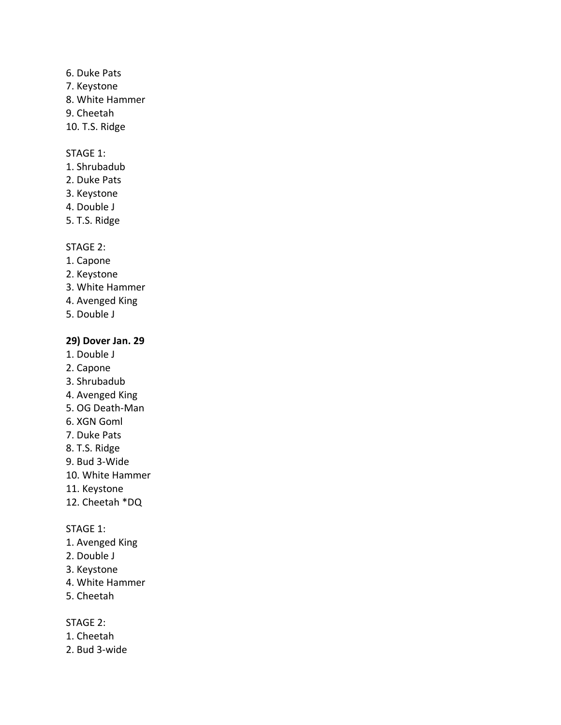- 6. Duke Pats
- 7. Keystone
- 8. White Hammer
- 9. Cheetah
- 10. T.S. Ridge

### STAGE 1:

- 1. Shrubadub
- 2. Duke Pats
- 3. Keystone
- 4. Double J
- 5. T.S. Ridge

### STAGE 2:

- 1. Capone
- 2. Keystone
- 3. White Hammer
- 4. Avenged King
- 5. Double J

### **29) Dover Jan. 29**

- 1. Double J
- 2. Capone
- 3. Shrubadub
- 4. Avenged King
- 5. OG Death-Man
- 6. XGN Goml
- 7. Duke Pats
- 8. T.S. Ridge
- 9. Bud 3-Wide
- 10. White Hammer
- 11. Keystone
- 12. Cheetah \*DQ

#### STAGE 1:

- 1. Avenged King
- 2. Double J
- 3. Keystone
- 4. White Hammer
- 5. Cheetah

- 1. Cheetah
- 2. Bud 3-wide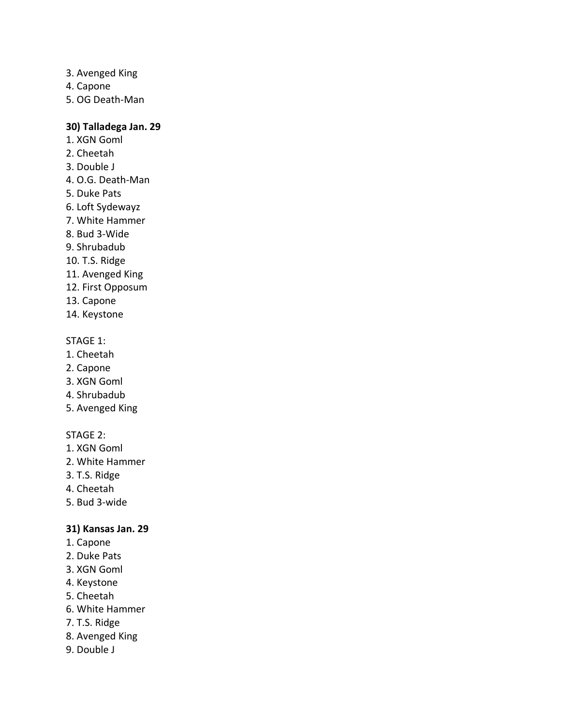- 3. Avenged King
- 4. Capone
- 5. OG Death-Man

#### **30) Talladega Jan. 29**

- 1. XGN Goml
- 2. Cheetah
- 3. Double J
- 4. O.G. Death-Man
- 5. Duke Pats
- 6. Loft Sydewayz
- 7. White Hammer
- 8. Bud 3-Wide
- 9. Shrubadub
- 10. T.S. Ridge
- 11. Avenged King
- 12. First Opposum
- 13. Capone
- 14. Keystone

#### STAGE 1:

- 1. Cheetah
- 2. Capone
- 3. XGN Goml
- 4. Shrubadub
- 5. Avenged King

### STAGE 2:

- 1. XGN Goml
- 2. White Hammer
- 3. T.S. Ridge
- 4. Cheetah
- 5. Bud 3-wide

### **31) Kansas Jan. 29**

- 1. Capone
- 2. Duke Pats
- 3. XGN Goml
- 4. Keystone
- 5. Cheetah
- 6. White Hammer
- 7. T.S. Ridge
- 8. Avenged King
- 9. Double J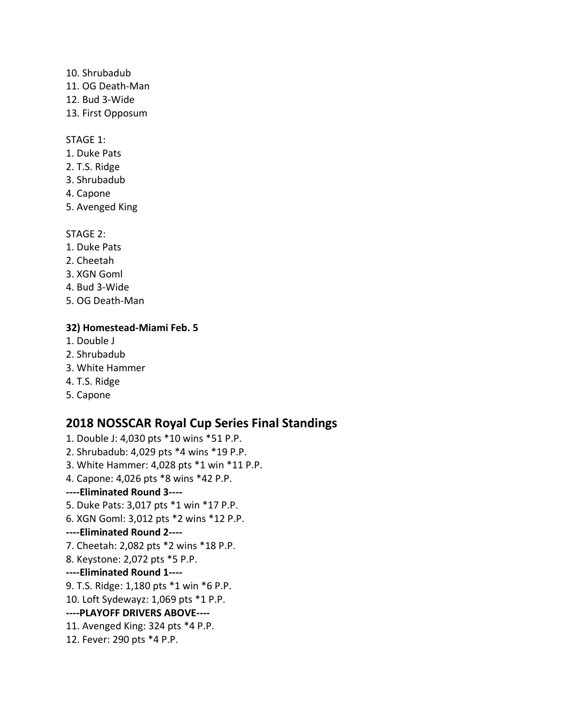- 10. Shrubadub
- 11. OG Death-Man
- 12. Bud 3-Wide
- 13. First Opposum

#### STAGE 1:

- 1. Duke Pats
- 2. T.S. Ridge
- 3. Shrubadub
- 4. Capone
- 5. Avenged King

# STAGE 2:

- 1. Duke Pats
- 2. Cheetah
- 3. XGN Goml
- 4. Bud 3-Wide
- 5. OG Death-Man

# **32) Homestead-Miami Feb. 5**

- 1. Double J
- 2. Shrubadub
- 3. White Hammer
- 4. T.S. Ridge
- 5. Capone

# **2018 NOSSCAR Royal Cup Series Final Standings**

1. Double J: 4,030 pts \*10 wins \*51 P.P. 2. Shrubadub: 4,029 pts \*4 wins \*19 P.P. 3. White Hammer: 4,028 pts \*1 win \*11 P.P. 4. Capone: 4,026 pts \*8 wins \*42 P.P. **----Eliminated Round 3----** 5. Duke Pats: 3,017 pts \*1 win \*17 P.P. 6. XGN Goml: 3,012 pts \*2 wins \*12 P.P. **----Eliminated Round 2----** 7. Cheetah: 2,082 pts \*2 wins \*18 P.P. 8. Keystone: 2,072 pts \*5 P.P. **----Eliminated Round 1----** 9. T.S. Ridge: 1,180 pts \*1 win \*6 P.P. 10. Loft Sydewayz: 1,069 pts \*1 P.P. **----PLAYOFF DRIVERS ABOVE----** 11. Avenged King: 324 pts \*4 P.P. 12. Fever: 290 pts \*4 P.P.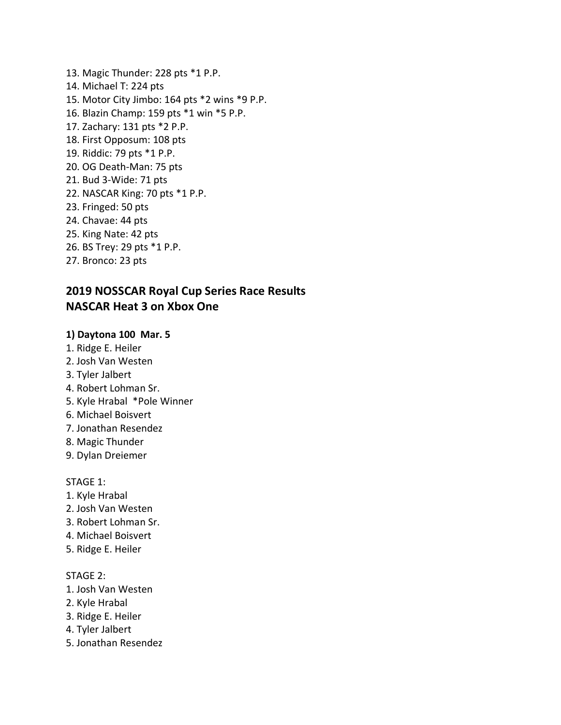13. Magic Thunder: 228 pts \*1 P.P. 14. Michael T: 224 pts 15. Motor City Jimbo: 164 pts \*2 wins \*9 P.P. 16. Blazin Champ: 159 pts \*1 win \*5 P.P. 17. Zachary: 131 pts \*2 P.P. 18. First Opposum: 108 pts 19. Riddic: 79 pts \*1 P.P. 20. OG Death-Man: 75 pts 21. Bud 3-Wide: 71 pts 22. NASCAR King: 70 pts \*1 P.P. 23. Fringed: 50 pts 24. Chavae: 44 pts 25. King Nate: 42 pts 26. BS Trey: 29 pts \*1 P.P. 27. Bronco: 23 pts

# **2019 NOSSCAR Royal Cup Series Race Results NASCAR Heat 3 on Xbox One**

### **1) Daytona 100 Mar. 5**

- 1. Ridge E. Heiler
- 2. Josh Van Westen
- 3. Tyler Jalbert
- 4. Robert Lohman Sr.
- 5. Kyle Hrabal \*Pole Winner
- 6. Michael Boisvert
- 7. Jonathan Resendez
- 8. Magic Thunder
- 9. Dylan Dreiemer

STAGE 1:

- 1. Kyle Hrabal
- 2. Josh Van Westen
- 3. Robert Lohman Sr.
- 4. Michael Boisvert
- 5. Ridge E. Heiler

- 1. Josh Van Westen
- 2. Kyle Hrabal
- 3. Ridge E. Heiler
- 4. Tyler Jalbert
- 5. Jonathan Resendez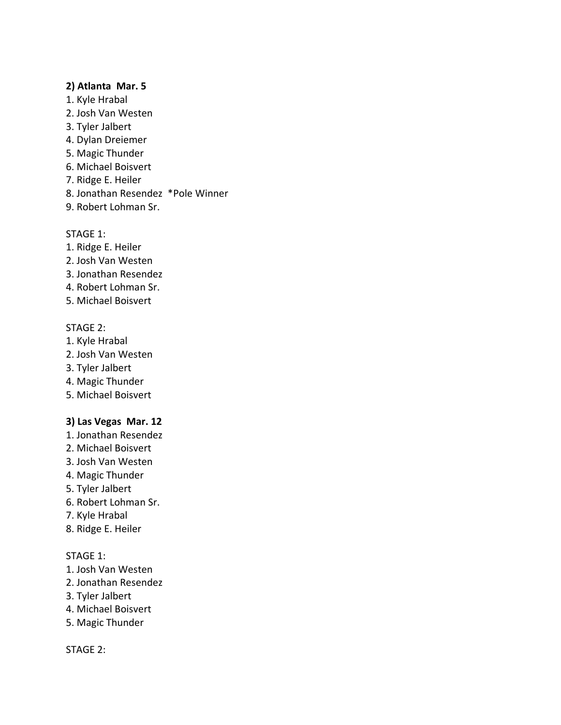#### **2) Atlanta Mar. 5**

- 1. Kyle Hrabal
- 2. Josh Van Westen
- 3. Tyler Jalbert
- 4. Dylan Dreiemer
- 5. Magic Thunder
- 6. Michael Boisvert
- 7. Ridge E. Heiler
- 8. Jonathan Resendez \*Pole Winner
- 9. Robert Lohman Sr.

#### STAGE 1:

- 1. Ridge E. Heiler
- 2. Josh Van Westen
- 3. Jonathan Resendez
- 4. Robert Lohman Sr.
- 5. Michael Boisvert

#### STAGE 2:

- 1. Kyle Hrabal
- 2. Josh Van Westen
- 3. Tyler Jalbert
- 4. Magic Thunder
- 5. Michael Boisvert

#### **3) Las Vegas Mar. 12**

- 1. Jonathan Resendez
- 2. Michael Boisvert
- 3. Josh Van Westen
- 4. Magic Thunder
- 5. Tyler Jalbert
- 6. Robert Lohman Sr.
- 7. Kyle Hrabal
- 8. Ridge E. Heiler

### STAGE 1:

- 1. Josh Van Westen
- 2. Jonathan Resendez
- 3. Tyler Jalbert
- 4. Michael Boisvert
- 5. Magic Thunder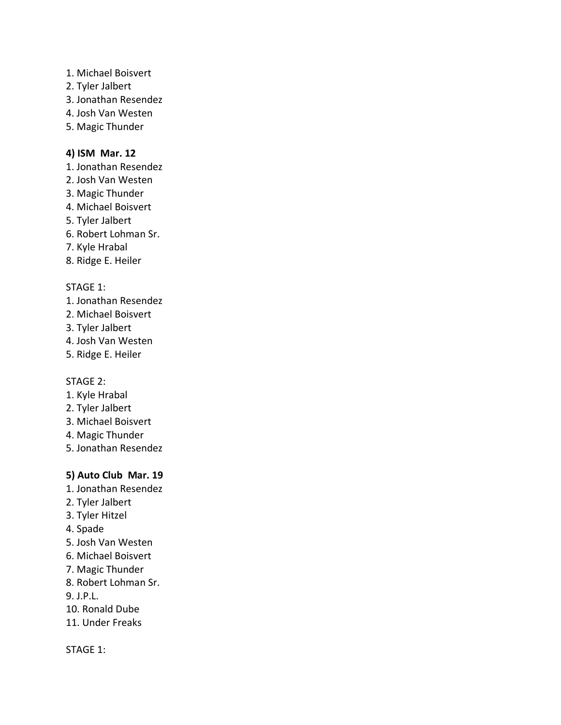- 1. Michael Boisvert
- 2. Tyler Jalbert
- 3. Jonathan Resendez
- 4. Josh Van Westen
- 5. Magic Thunder

# **4) ISM Mar. 12**

- 1. Jonathan Resendez
- 2. Josh Van Westen
- 3. Magic Thunder
- 4. Michael Boisvert
- 5. Tyler Jalbert
- 6. Robert Lohman Sr.
- 7. Kyle Hrabal
- 8. Ridge E. Heiler

### STAGE 1:

- 1. Jonathan Resendez
- 2. Michael Boisvert
- 3. Tyler Jalbert
- 4. Josh Van Westen
- 5. Ridge E. Heiler

### STAGE 2:

- 1. Kyle Hrabal
- 2. Tyler Jalbert
- 3. Michael Boisvert
- 4. Magic Thunder
- 5. Jonathan Resendez

# **5) Auto Club Mar. 19**

- 1. Jonathan Resendez
- 2. Tyler Jalbert
- 3. Tyler Hitzel
- 4. Spade
- 5. Josh Van Westen
- 6. Michael Boisvert
- 7. Magic Thunder
- 8. Robert Lohman Sr.
- 9. J.P.L.
- 10. Ronald Dube
- 11. Under Freaks

### STAGE 1: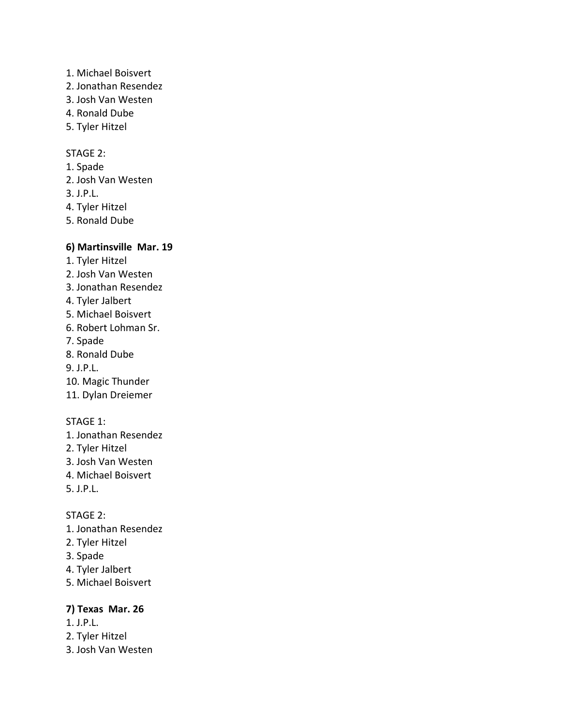- 1. Michael Boisvert
- 2. Jonathan Resendez
- 3. Josh Van Westen
- 4. Ronald Dube
- 5. Tyler Hitzel

# STAGE 2:

- 1. Spade
- 2. Josh Van Westen
- 3. J.P.L.
- 4. Tyler Hitzel
- 5. Ronald Dube

# **6) Martinsville Mar. 19**

- 1. Tyler Hitzel
- 2. Josh Van Westen
- 3. Jonathan Resendez
- 4. Tyler Jalbert
- 5. Michael Boisvert
- 6. Robert Lohman Sr.
- 7. Spade
- 8. Ronald Dube
- 9. J.P.L.
- 10. Magic Thunder
- 11. Dylan Dreiemer

### STAGE 1:

- 1. Jonathan Resendez
- 2. Tyler Hitzel
- 3. Josh Van Westen
- 4. Michael Boisvert
- 5. J.P.L.

### STAGE 2:

- 1. Jonathan Resendez
- 2. Tyler Hitzel
- 3. Spade
- 4. Tyler Jalbert
- 5. Michael Boisvert

# **7) Texas Mar. 26**

- 1. J.P.L.
- 2. Tyler Hitzel
- 3. Josh Van Westen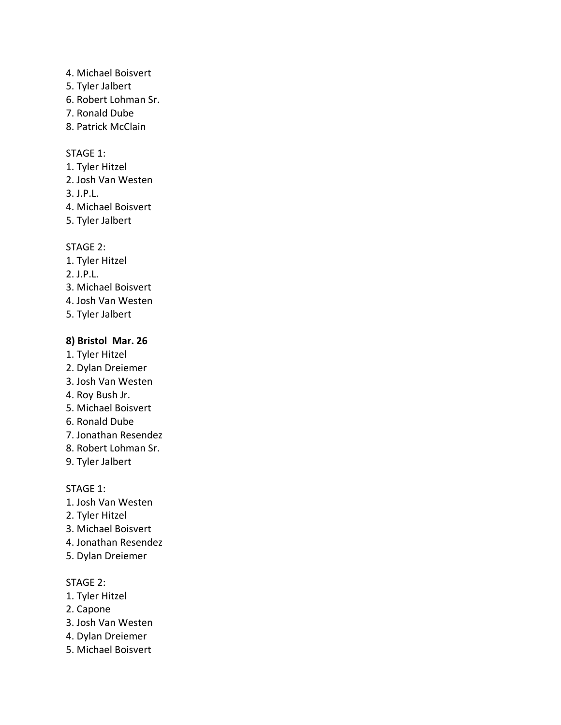- 4. Michael Boisvert
- 5. Tyler Jalbert
- 6. Robert Lohman Sr.
- 7. Ronald Dube
- 8. Patrick McClain

#### STAGE 1:

- 1. Tyler Hitzel
- 2. Josh Van Westen
- 3. J.P.L.
- 4. Michael Boisvert
- 5. Tyler Jalbert

#### STAGE 2:

- 1. Tyler Hitzel
- 2. J.P.L.
- 3. Michael Boisvert
- 4. Josh Van Westen
- 5. Tyler Jalbert

#### **8) Bristol Mar. 26**

- 1. Tyler Hitzel
- 2. Dylan Dreiemer
- 3. Josh Van Westen
- 4. Roy Bush Jr.
- 5. Michael Boisvert
- 6. Ronald Dube
- 7. Jonathan Resendez
- 8. Robert Lohman Sr.
- 9. Tyler Jalbert

#### STAGE 1:

- 1. Josh Van Westen
- 2. Tyler Hitzel
- 3. Michael Boisvert
- 4. Jonathan Resendez
- 5. Dylan Dreiemer

- 1. Tyler Hitzel
- 2. Capone
- 3. Josh Van Westen
- 4. Dylan Dreiemer
- 5. Michael Boisvert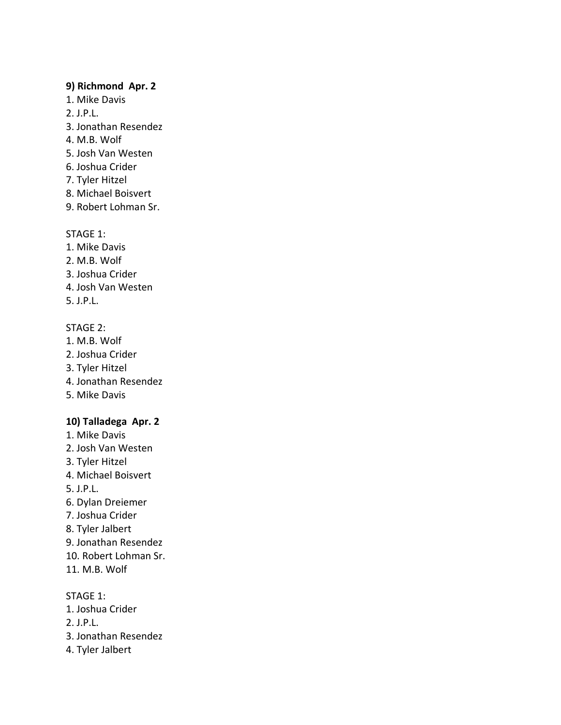#### **9) Richmond Apr. 2**

- 1. Mike Davis
- 2. J.P.L.
- 3. Jonathan Resendez
- 4. M.B. Wolf
- 5. Josh Van Westen
- 6. Joshua Crider
- 7. Tyler Hitzel
- 8. Michael Boisvert
- 9. Robert Lohman Sr.

### STAGE 1:

- 1. Mike Davis
- 2. M.B. Wolf
- 3. Joshua Crider
- 4. Josh Van Westen
- 5. J.P.L.

# STAGE 2:

- 1. M.B. Wolf
- 2. Joshua Crider
- 3. Tyler Hitzel
- 4. Jonathan Resendez
- 5. Mike Davis

### **10) Talladega Apr. 2**

- 1. Mike Davis
- 2. Josh Van Westen
- 3. Tyler Hitzel
- 4. Michael Boisvert
- 5. J.P.L.
- 6. Dylan Dreiemer
- 7. Joshua Crider
- 8. Tyler Jalbert
- 9. Jonathan Resendez
- 10. Robert Lohman Sr.
- 11. M.B. Wolf

STAGE 1:

- 1. Joshua Crider
- 2. J.P.L.
- 3. Jonathan Resendez
- 4. Tyler Jalbert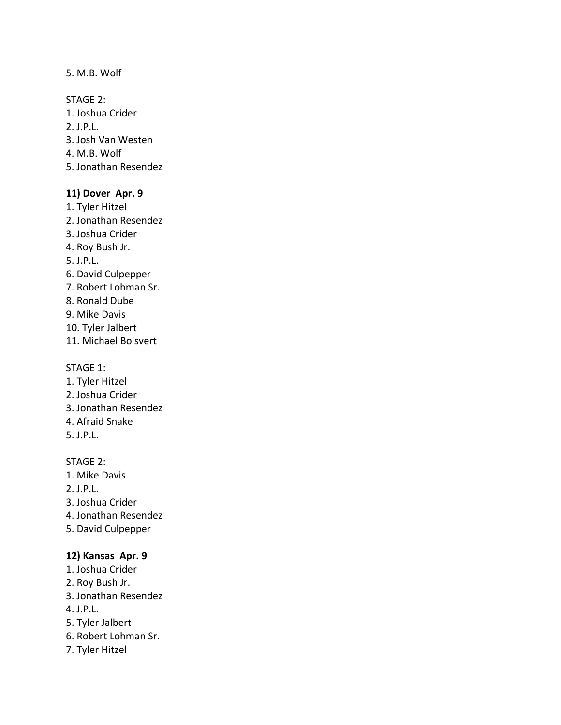#### 5. M.B. Wolf

STAGE 2:

- 1. Joshua Crider
- 2. J.P.L.
- 3. Josh Van Westen
- 4. M.B. Wolf
- 5. Jonathan Resendez

# **11) Dover Apr. 9**

- 1. Tyler Hitzel
- 2. Jonathan Resendez
- 3. Joshua Crider
- 4. Roy Bush Jr.

5. J.P.L.

- 6. David Culpepper
- 7. Robert Lohman Sr.
- 8. Ronald Dube
- 9. Mike Davis
- 10. Tyler Jalbert
- 11. Michael Boisvert

### STAGE 1:

- 1. Tyler Hitzel
- 2. Joshua Crider
- 3. Jonathan Resendez
- 4. Afraid Snake
- 5. J.P.L.

# STAGE 2:

- 1. Mike Davis
- 2. J.P.L.
- 3. Joshua Crider
- 4. Jonathan Resendez
- 5. David Culpepper

# **12) Kansas Apr. 9**

- 1. Joshua Crider
- 2. Roy Bush Jr.
- 3. Jonathan Resendez
- 4. J.P.L.
- 5. Tyler Jalbert
- 6. Robert Lohman Sr.
- 7. Tyler Hitzel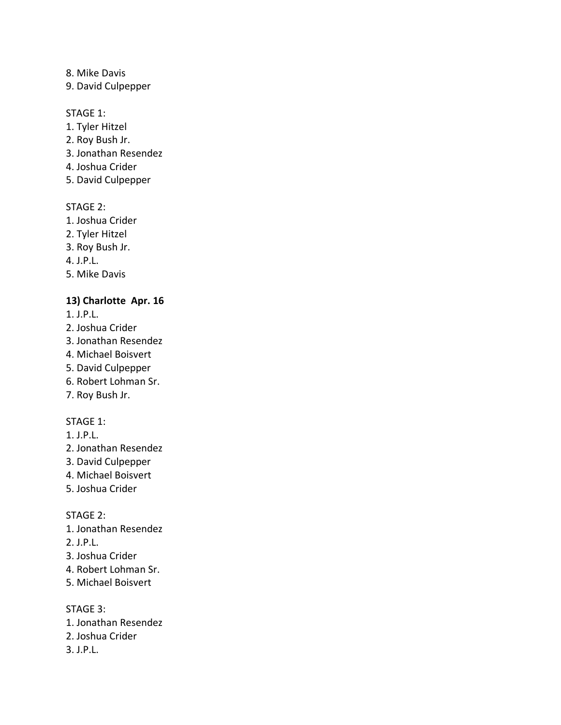8. Mike Davis

9. David Culpepper

#### STAGE 1:

- 1. Tyler Hitzel
- 2. Roy Bush Jr.
- 3. Jonathan Resendez
- 4. Joshua Crider
- 5. David Culpepper

### STAGE 2:

- 1. Joshua Crider
- 2. Tyler Hitzel
- 3. Roy Bush Jr.
- 4. J.P.L.
- 5. Mike Davis

### **13) Charlotte Apr. 16**

- 1. J.P.L.
- 2. Joshua Crider
- 3. Jonathan Resendez
- 4. Michael Boisvert
- 5. David Culpepper
- 6. Robert Lohman Sr.
- 7. Roy Bush Jr.

#### STAGE 1:

- 1. J.P.L.
- 2. Jonathan Resendez
- 3. David Culpepper
- 4. Michael Boisvert
- 5. Joshua Crider

#### STAGE 2:

- 1. Jonathan Resendez
- 2. J.P.L.
- 3. Joshua Crider
- 4. Robert Lohman Sr.
- 5. Michael Boisvert

# STAGE 3:

- 1. Jonathan Resendez
- 2. Joshua Crider
- 3. J.P.L.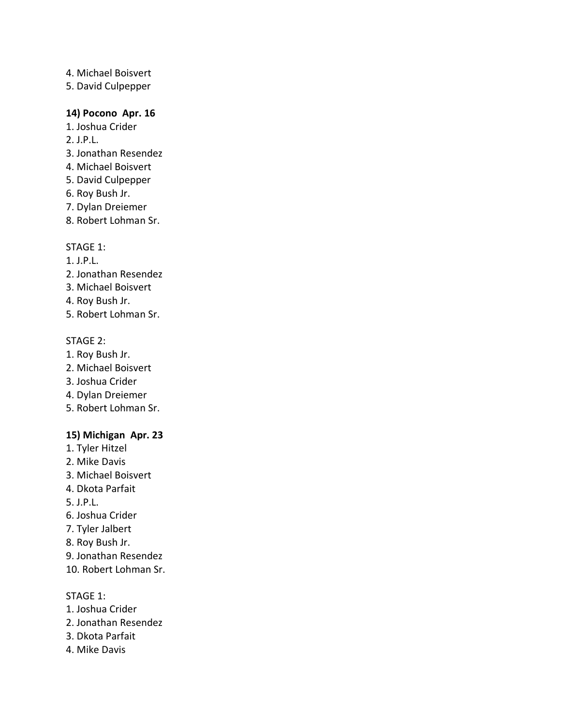- 4. Michael Boisvert
- 5. David Culpepper

# **14) Pocono Apr. 16**

- 1. Joshua Crider
- 2. J.P.L.
- 3. Jonathan Resendez
- 4. Michael Boisvert
- 5. David Culpepper
- 6. Roy Bush Jr.
- 7. Dylan Dreiemer
- 8. Robert Lohman Sr.

### STAGE 1:

- 1. J.P.L.
- 2. Jonathan Resendez
- 3. Michael Boisvert
- 4. Roy Bush Jr.
- 5. Robert Lohman Sr.

#### STAGE 2:

- 1. Roy Bush Jr.
- 2. Michael Boisvert
- 3. Joshua Crider
- 4. Dylan Dreiemer
- 5. Robert Lohman Sr.

### **15) Michigan Apr. 23**

- 1. Tyler Hitzel
- 2. Mike Davis
- 3. Michael Boisvert
- 4. Dkota Parfait
- 5. J.P.L.
- 6. Joshua Crider
- 7. Tyler Jalbert
- 8. Roy Bush Jr.
- 9. Jonathan Resendez
- 10. Robert Lohman Sr.

### STAGE 1:

- 1. Joshua Crider
- 2. Jonathan Resendez
- 3. Dkota Parfait
- 4. Mike Davis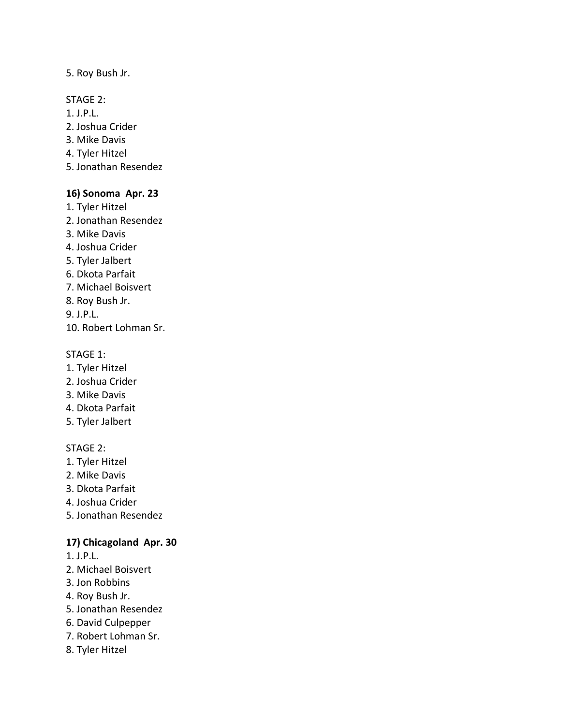### 5. Roy Bush Jr.

### STAGE 2:

- 1. J.P.L.
- 2. Joshua Crider
- 3. Mike Davis
- 4. Tyler Hitzel
- 5. Jonathan Resendez

# **16) Sonoma Apr. 23**

- 1. Tyler Hitzel
- 2. Jonathan Resendez
- 3. Mike Davis
- 4. Joshua Crider
- 5. Tyler Jalbert
- 6. Dkota Parfait
- 7. Michael Boisvert
- 8. Roy Bush Jr.
- 9. J.P.L.
- 10. Robert Lohman Sr.

# STAGE 1:

- 1. Tyler Hitzel
- 2. Joshua Crider
- 3. Mike Davis
- 4. Dkota Parfait
- 5. Tyler Jalbert

# STAGE 2:

- 1. Tyler Hitzel
- 2. Mike Davis
- 3. Dkota Parfait
- 4. Joshua Crider
- 5. Jonathan Resendez

# **17) Chicagoland Apr. 30**

- 1. J.P.L.
- 2. Michael Boisvert
- 3. Jon Robbins
- 4. Roy Bush Jr.
- 5. Jonathan Resendez
- 6. David Culpepper
- 7. Robert Lohman Sr.
- 8. Tyler Hitzel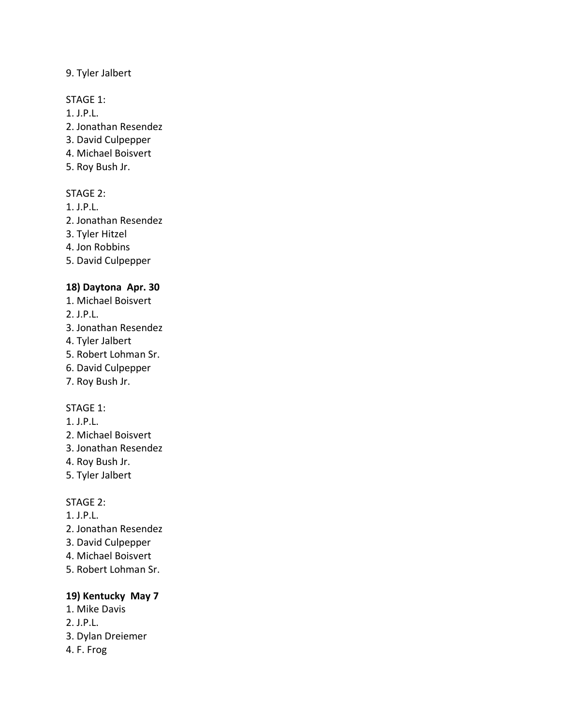# 9. Tyler Jalbert

# STAGE 1:

- 1. J.P.L.
- 2. Jonathan Resendez
- 3. David Culpepper
- 4. Michael Boisvert
- 5. Roy Bush Jr.

# STAGE 2:

- 1. J.P.L.
- 2. Jonathan Resendez
- 3. Tyler Hitzel
- 4. Jon Robbins
- 5. David Culpepper

# **18) Daytona Apr. 30**

- 1. Michael Boisvert
- 2. J.P.L.
- 3. Jonathan Resendez
- 4. Tyler Jalbert
- 5. Robert Lohman Sr.
- 6. David Culpepper
- 7. Roy Bush Jr.

# STAGE 1:

- 1. J.P.L.
- 2. Michael Boisvert
- 3. Jonathan Resendez
- 4. Roy Bush Jr.
- 5. Tyler Jalbert

# STAGE 2:

- 1. J.P.L.
- 2. Jonathan Resendez
- 3. David Culpepper
- 4. Michael Boisvert
- 5. Robert Lohman Sr.

# **19) Kentucky May 7**

- 1. Mike Davis
- 2. J.P.L.
- 3. Dylan Dreiemer
- 4. F. Frog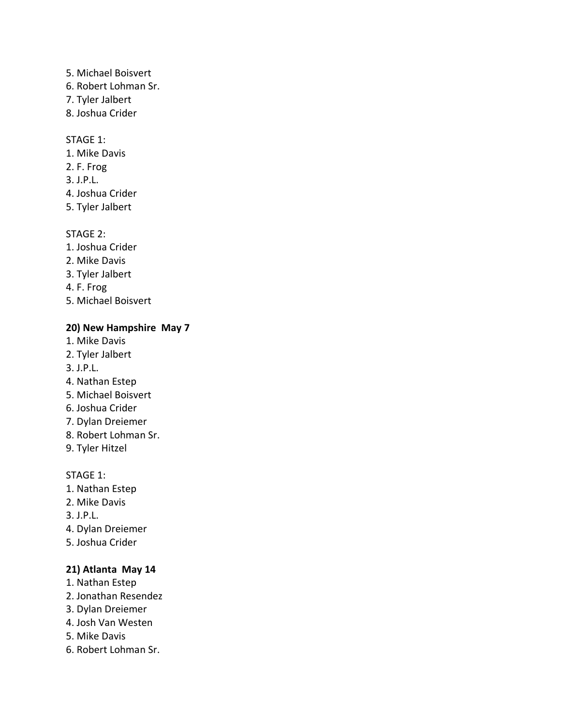- 5. Michael Boisvert
- 6. Robert Lohman Sr.
- 7. Tyler Jalbert
- 8. Joshua Crider

### STAGE 1:

- 1. Mike Davis
- 2. F. Frog
- 3. J.P.L.
- 4. Joshua Crider
- 5. Tyler Jalbert

# STAGE 2:

- 1. Joshua Crider
- 2. Mike Davis
- 3. Tyler Jalbert
- 4. F. Frog
- 5. Michael Boisvert

# **20) New Hampshire May 7**

- 1. Mike Davis
- 2. Tyler Jalbert
- 3. J.P.L.
- 4. Nathan Estep
- 5. Michael Boisvert
- 6. Joshua Crider
- 7. Dylan Dreiemer
- 8. Robert Lohman Sr.
- 9. Tyler Hitzel

### STAGE 1:

- 1. Nathan Estep
- 2. Mike Davis
- 3. J.P.L.
- 4. Dylan Dreiemer
- 5. Joshua Crider

# **21) Atlanta May 14**

- 1. Nathan Estep
- 2. Jonathan Resendez
- 3. Dylan Dreiemer
- 4. Josh Van Westen
- 5. Mike Davis
- 6. Robert Lohman Sr.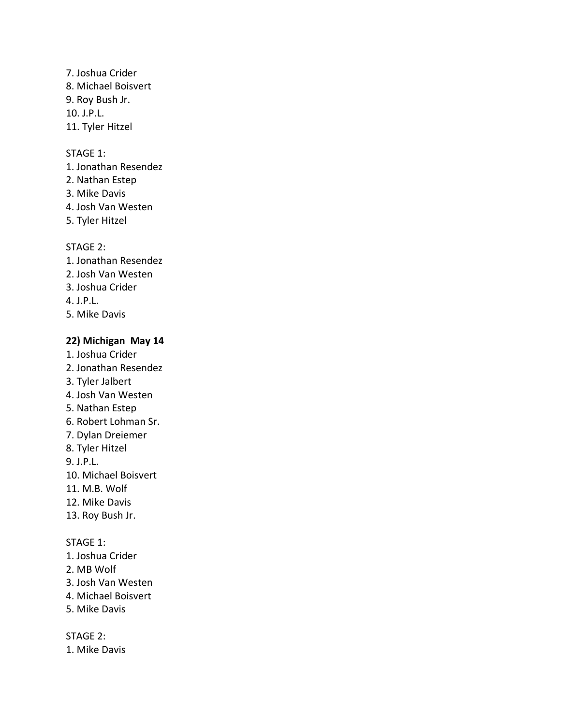7. Joshua Crider 8. Michael Boisvert 9. Roy Bush Jr. 10. J.P.L. 11. Tyler Hitzel

#### STAGE 1:

- 1. Jonathan Resendez
- 2. Nathan Estep
- 3. Mike Davis
- 4. Josh Van Westen
- 5. Tyler Hitzel

#### STAGE 2:

- 1. Jonathan Resendez
- 2. Josh Van Westen
- 3. Joshua Crider
- 4. J.P.L.
- 5. Mike Davis

#### **22) Michigan May 14**

- 1. Joshua Crider
- 2. Jonathan Resendez
- 3. Tyler Jalbert
- 4. Josh Van Westen
- 5. Nathan Estep
- 6. Robert Lohman Sr.
- 7. Dylan Dreiemer
- 8. Tyler Hitzel

9. J.P.L.

- 10. Michael Boisvert
- 11. M.B. Wolf
- 12. Mike Davis
- 13. Roy Bush Jr.

#### STAGE 1:

- 1. Joshua Crider
- 2. MB Wolf
- 3. Josh Van Westen
- 4. Michael Boisvert
- 5. Mike Davis

STAGE 2:

1. Mike Davis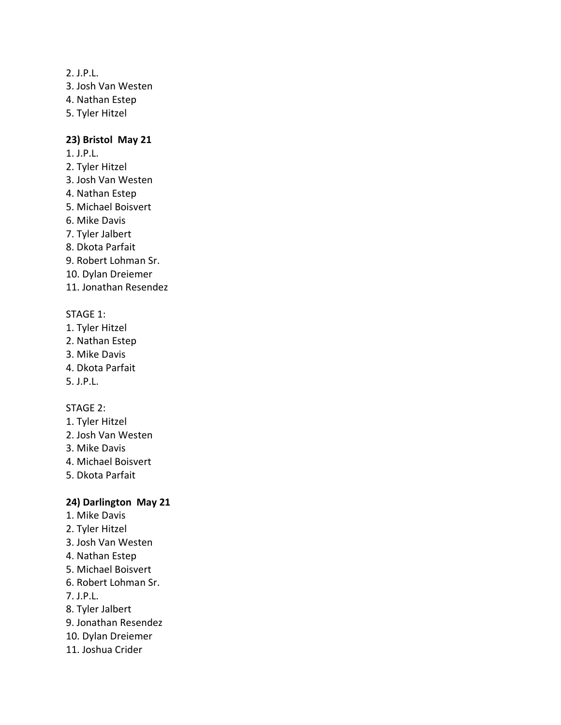#### 2. J.P.L.

3. Josh Van Westen

- 4. Nathan Estep
- 5. Tyler Hitzel

#### **23) Bristol May 21**

- 1. J.P.L.
- 2. Tyler Hitzel
- 3. Josh Van Westen
- 4. Nathan Estep
- 5. Michael Boisvert
- 6. Mike Davis
- 7. Tyler Jalbert
- 8. Dkota Parfait
- 9. Robert Lohman Sr.
- 10. Dylan Dreiemer
- 11. Jonathan Resendez

#### STAGE 1:

- 1. Tyler Hitzel
- 2. Nathan Estep
- 3. Mike Davis
- 4. Dkota Parfait
- 5. J.P.L.

#### STAGE 2:

- 1. Tyler Hitzel
- 2. Josh Van Westen
- 3. Mike Davis
- 4. Michael Boisvert
- 5. Dkota Parfait

### **24) Darlington May 21**

- 1. Mike Davis
- 2. Tyler Hitzel
- 3. Josh Van Westen
- 4. Nathan Estep
- 5. Michael Boisvert
- 6. Robert Lohman Sr.
- 7. J.P.L.
- 8. Tyler Jalbert
- 9. Jonathan Resendez
- 10. Dylan Dreiemer
- 11. Joshua Crider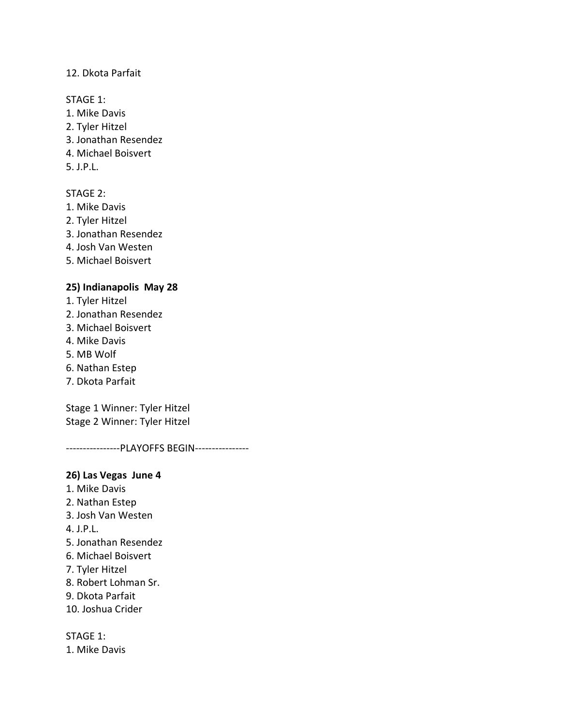### 12. Dkota Parfait

#### STAGE 1:

- 1. Mike Davis
- 2. Tyler Hitzel
- 3. Jonathan Resendez
- 4. Michael Boisvert
- 5. J.P.L.

# STAGE 2:

- 1. Mike Davis
- 2. Tyler Hitzel
- 3. Jonathan Resendez
- 4. Josh Van Westen
- 5. Michael Boisvert

# **25) Indianapolis May 28**

- 1. Tyler Hitzel
- 2. Jonathan Resendez
- 3. Michael Boisvert
- 4. Mike Davis
- 5. MB Wolf
- 6. Nathan Estep
- 7. Dkota Parfait

Stage 1 Winner: Tyler Hitzel Stage 2 Winner: Tyler Hitzel

----------------PLAYOFFS BEGIN----------------

### **26) Las Vegas June 4**

- 1. Mike Davis
- 2. Nathan Estep
- 3. Josh Van Westen
- 4. J.P.L.
- 5. Jonathan Resendez
- 6. Michael Boisvert
- 7. Tyler Hitzel
- 8. Robert Lohman Sr.
- 9. Dkota Parfait
- 10. Joshua Crider

STAGE 1:

1. Mike Davis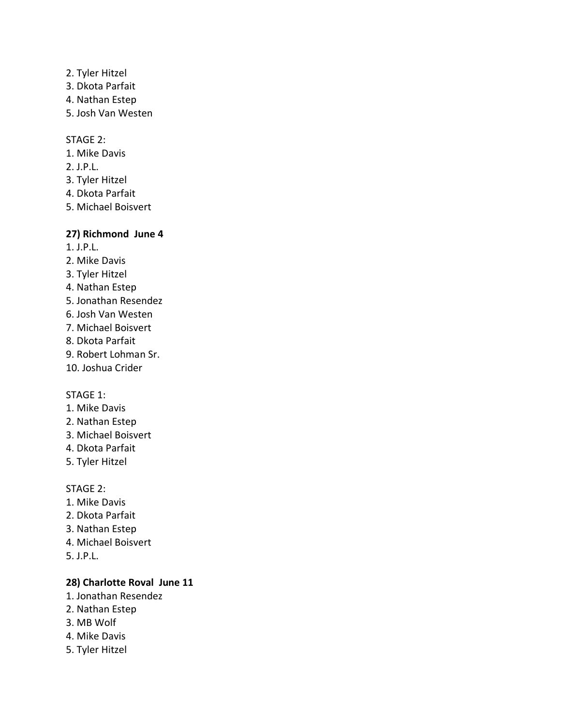- 2. Tyler Hitzel
- 3. Dkota Parfait
- 4. Nathan Estep
- 5. Josh Van Westen

#### STAGE 2:

- 1. Mike Davis
- 2. J.P.L.
- 3. Tyler Hitzel
- 4. Dkota Parfait
- 5. Michael Boisvert

# **27) Richmond June 4**

- 1. J.P.L.
- 2. Mike Davis
- 3. Tyler Hitzel
- 4. Nathan Estep
- 5. Jonathan Resendez
- 6. Josh Van Westen
- 7. Michael Boisvert
- 8. Dkota Parfait
- 9. Robert Lohman Sr.
- 10. Joshua Crider

#### STAGE 1:

- 1. Mike Davis
- 2. Nathan Estep
- 3. Michael Boisvert
- 4. Dkota Parfait
- 5. Tyler Hitzel

#### STAGE 2:

- 1. Mike Davis
- 2. Dkota Parfait
- 3. Nathan Estep
- 4. Michael Boisvert
- 5. J.P.L.

### **28) Charlotte Roval June 11**

- 1. Jonathan Resendez
- 2. Nathan Estep
- 3. MB Wolf
- 4. Mike Davis
- 5. Tyler Hitzel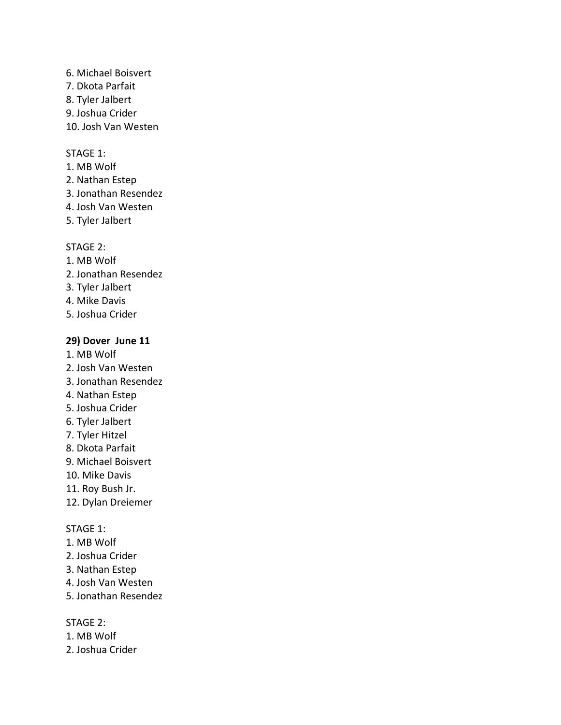#### 6. Michael Boisvert 7. Dkota Parfait

- 
- 8. Tyler Jalbert
- 9. Joshua Crider
- 10. Josh Van Westen

# STAGE 1:

- 1. MB Wolf
- 2. Nathan Estep
- 3. Jonathan Resendez
- 4. Josh Van Westen
- 5. Tyler Jalbert

# STAGE 2:

- 1. MB Wolf
- 2. Jonathan Resendez
- 3. Tyler Jalbert
- 4. Mike Davis
- 5. Joshua Crider

# **29) Dover June 11**

- 1. MB Wolf
- 2. Josh Van Westen
- 3. Jonathan Resendez
- 4. Nathan Estep
- 5. Joshua Crider
- 6. Tyler Jalbert
- 7. Tyler Hitzel
- 8. Dkota Parfait
- 9. Michael Boisvert
- 10. Mike Davis
- 11. Roy Bush Jr.
- 12. Dylan Dreiemer

# STAGE 1:

- 1. MB Wolf
- 2. Joshua Crider
- 3. Nathan Estep
- 4. Josh Van Westen
- 5. Jonathan Resendez

- 1. MB Wolf
- 2. Joshua Crider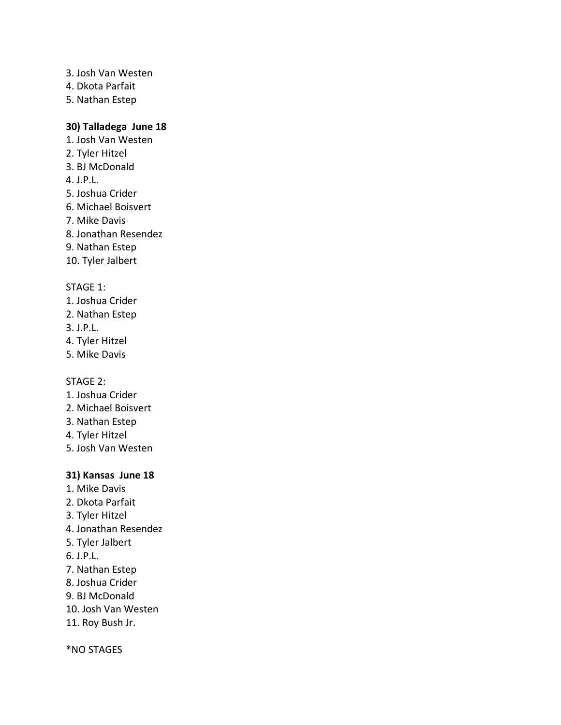- 3. Josh Van Westen
- 4. Dkota Parfait
- 5. Nathan Estep

# **30) Talladega June 18**

- 1. Josh Van Westen
- 2. Tyler Hitzel
- 3. BJ McDonald
- 4. J.P.L.
- 5. Joshua Crider
- 6. Michael Boisvert
- 7. Mike Davis
- 8. Jonathan Resendez
- 9. Nathan Estep
- 10. Tyler Jalbert

# STAGE 1:

- 1. Joshua Crider
- 2. Nathan Estep
- 3. J.P.L.
- 4. Tyler Hitzel
- 5. Mike Davis

STAGE 2:

- 1. Joshua Crider
- 2. Michael Boisvert
- 3. Nathan Estep
- 4. Tyler Hitzel
- 5. Josh Van Westen

# **31) Kansas June 18**

- 1. Mike Davis
- 2. Dkota Parfait
- 3. Tyler Hitzel
- 4. Jonathan Resendez
- 5. Tyler Jalbert
- 6. J.P.L.
- 7. Nathan Estep
- 8. Joshua Crider
- 9. BJ McDonald
- 10. Josh Van Westen
- 11. Roy Bush Jr.

\*NO STAGES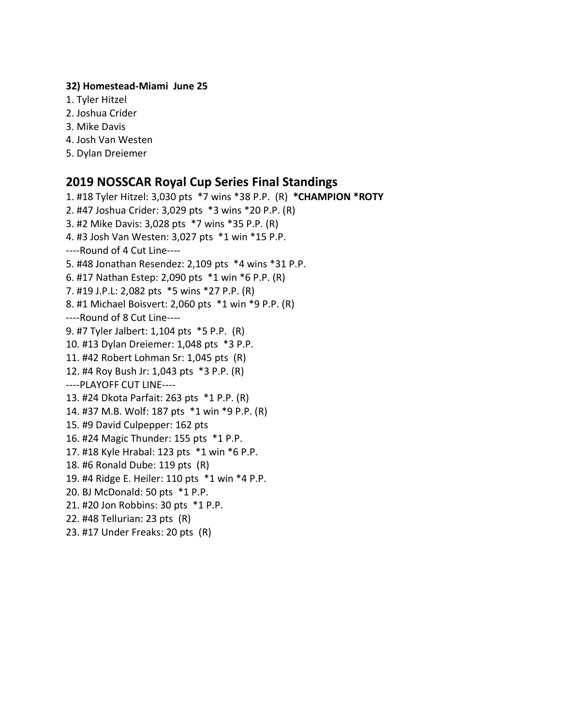#### **32) Homestead-Miami June 25**

- 1. Tyler Hitzel
- 2. Joshua Crider
- 3. Mike Davis
- 4. Josh Van Westen
- 5. Dylan Dreiemer

# **2019 NOSSCAR Royal Cup Series Final Standings**

1. #18 Tyler Hitzel: 3,030 pts \*7 wins \*38 P.P. (R) **\*CHAMPION \*ROTY** 2. #47 Joshua Crider: 3,029 pts \*3 wins \*20 P.P. (R) 3. #2 Mike Davis: 3,028 pts \*7 wins \*35 P.P. (R) 4. #3 Josh Van Westen: 3,027 pts \*1 win \*15 P.P. ----Round of 4 Cut Line---- 5. #48 Jonathan Resendez: 2,109 pts \*4 wins \*31 P.P. 6. #17 Nathan Estep: 2,090 pts \*1 win \*6 P.P. (R) 7. #19 J.P.L: 2,082 pts \*5 wins \*27 P.P. (R) 8. #1 Michael Boisvert: 2,060 pts \*1 win \*9 P.P. (R) ----Round of 8 Cut Line---- 9. #7 Tyler Jalbert: 1,104 pts \*5 P.P. (R) 10. #13 Dylan Dreiemer: 1,048 pts \*3 P.P. 11. #42 Robert Lohman Sr: 1,045 pts (R) 12. #4 Roy Bush Jr: 1,043 pts \*3 P.P. (R) ----PLAYOFF CUT LINE---- 13. #24 Dkota Parfait: 263 pts \*1 P.P. (R) 14. #37 M.B. Wolf: 187 pts \*1 win \*9 P.P. (R) 15. #9 David Culpepper: 162 pts 16. #24 Magic Thunder: 155 pts \*1 P.P. 17. #18 Kyle Hrabal: 123 pts \*1 win \*6 P.P. 18. #6 Ronald Dube: 119 pts (R) 19. #4 Ridge E. Heiler: 110 pts \*1 win \*4 P.P. 20. BJ McDonald: 50 pts \*1 P.P. 21. #20 Jon Robbins: 30 pts \*1 P.P. 22. #48 Tellurian: 23 pts (R) 23. #17 Under Freaks: 20 pts (R)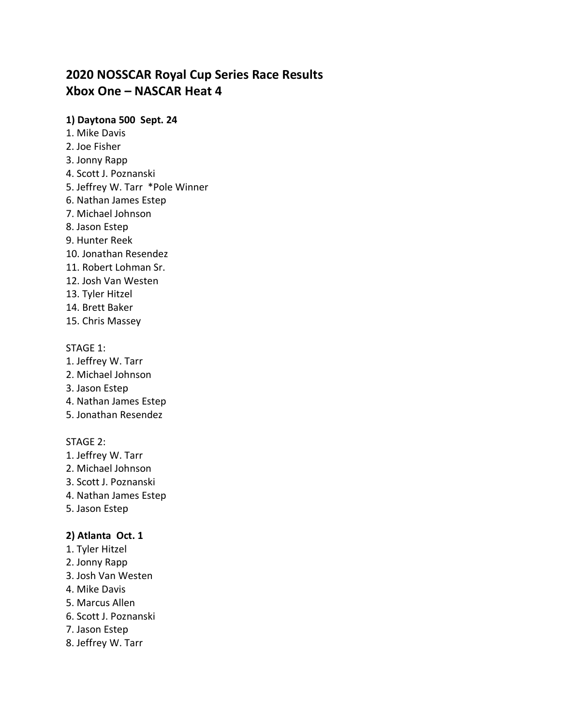# **2020 NOSSCAR Royal Cup Series Race Results Xbox One – NASCAR Heat 4**

### **1) Daytona 500 Sept. 24**

- 1. Mike Davis
- 2. Joe Fisher
- 3. Jonny Rapp
- 4. Scott J. Poznanski
- 5. Jeffrey W. Tarr \*Pole Winner
- 6. Nathan James Estep
- 7. Michael Johnson
- 8. Jason Estep
- 9. Hunter Reek
- 10. Jonathan Resendez
- 11. Robert Lohman Sr.
- 12. Josh Van Westen
- 13. Tyler Hitzel
- 14. Brett Baker
- 15. Chris Massey

### STAGE 1:

- 1. Jeffrey W. Tarr
- 2. Michael Johnson
- 3. Jason Estep
- 4. Nathan James Estep
- 5. Jonathan Resendez

### STAGE 2:

- 1. Jeffrey W. Tarr
- 2. Michael Johnson
- 3. Scott J. Poznanski
- 4. Nathan James Estep
- 5. Jason Estep

# **2) Atlanta Oct. 1**

- 1. Tyler Hitzel
- 2. Jonny Rapp
- 3. Josh Van Westen
- 4. Mike Davis
- 5. Marcus Allen
- 6. Scott J. Poznanski
- 7. Jason Estep
- 8. Jeffrey W. Tarr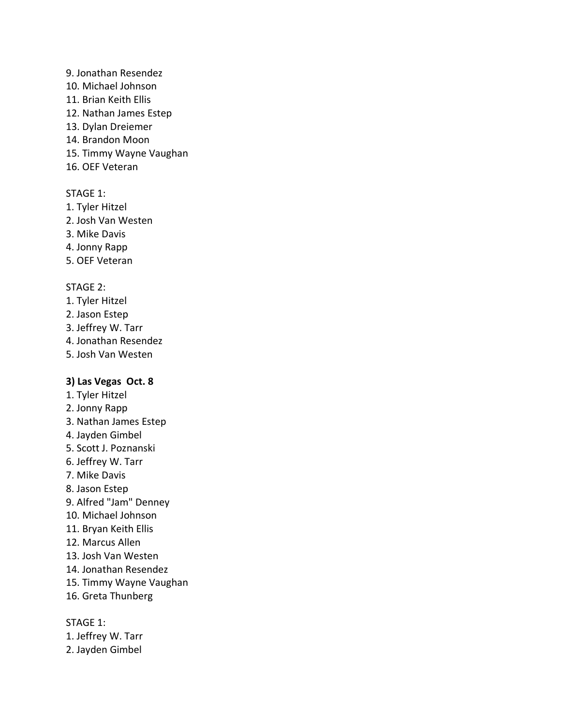#### 9. Jonathan Resendez

- 10. Michael Johnson
- 11. Brian Keith Ellis
- 12. Nathan James Estep
- 13. Dylan Dreiemer
- 14. Brandon Moon
- 15. Timmy Wayne Vaughan
- 16. OEF Veteran

### STAGE 1:

- 1. Tyler Hitzel
- 2. Josh Van Westen
- 3. Mike Davis
- 4. Jonny Rapp
- 5. OEF Veteran

#### STAGE 2:

- 1. Tyler Hitzel
- 2. Jason Estep
- 3. Jeffrey W. Tarr
- 4. Jonathan Resendez
- 5. Josh Van Westen

### **3) Las Vegas Oct. 8**

- 1. Tyler Hitzel
- 2. Jonny Rapp
- 3. Nathan James Estep
- 4. Jayden Gimbel
- 5. Scott J. Poznanski
- 6. Jeffrey W. Tarr
- 7. Mike Davis
- 8. Jason Estep
- 9. Alfred "Jam" Denney
- 10. Michael Johnson
- 11. Bryan Keith Ellis
- 12. Marcus Allen
- 13. Josh Van Westen
- 14. Jonathan Resendez
- 15. Timmy Wayne Vaughan
- 16. Greta Thunberg

STAGE 1:

- 1. Jeffrey W. Tarr
- 2. Jayden Gimbel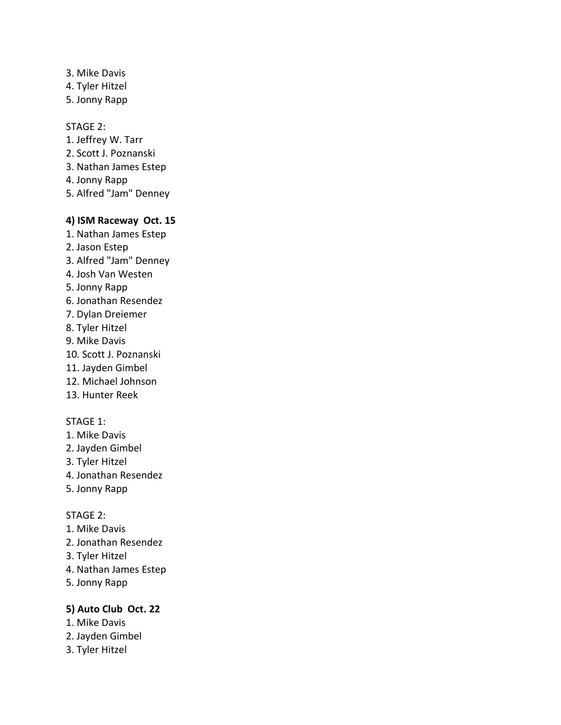- 3. Mike Davis
- 4. Tyler Hitzel
- 5. Jonny Rapp

#### STAGE 2:

- 1. Jeffrey W. Tarr
- 2. Scott J. Poznanski
- 3. Nathan James Estep
- 4. Jonny Rapp
- 5. Alfred "Jam" Denney

#### **4) ISM Raceway Oct. 15**

- 1. Nathan James Estep
- 2. Jason Estep
- 3. Alfred "Jam" Denney
- 4. Josh Van Westen
- 5. Jonny Rapp
- 6. Jonathan Resendez
- 7. Dylan Dreiemer
- 8. Tyler Hitzel
- 9. Mike Davis
- 10. Scott J. Poznanski
- 11. Jayden Gimbel
- 12. Michael Johnson
- 13. Hunter Reek

### STAGE 1:

- 1. Mike Davis
- 2. Jayden Gimbel
- 3. Tyler Hitzel
- 4. Jonathan Resendez
- 5. Jonny Rapp

#### STAGE 2:

- 1. Mike Davis
- 2. Jonathan Resendez
- 3. Tyler Hitzel
- 4. Nathan James Estep
- 5. Jonny Rapp

### **5) Auto Club Oct. 22**

- 1. Mike Davis
- 2. Jayden Gimbel
- 3. Tyler Hitzel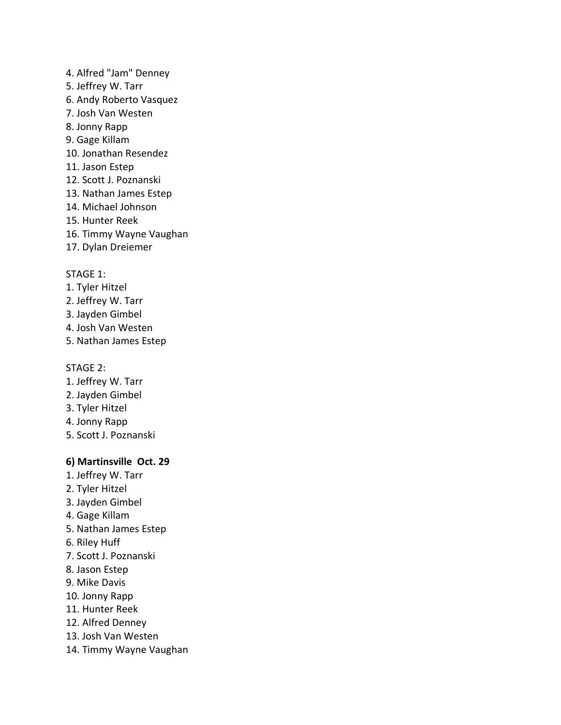- 4. Alfred "Jam" Denney
- 5. Jeffrey W. Tarr
- 6. Andy Roberto Vasquez
- 7. Josh Van Westen
- 8. Jonny Rapp
- 9. Gage Killam
- 10. Jonathan Resendez
- 11. Jason Estep
- 12. Scott J. Poznanski
- 13. Nathan James Estep
- 14. Michael Johnson
- 15. Hunter Reek
- 16. Timmy Wayne Vaughan
- 17. Dylan Dreiemer

# STAGE 1:

- 1. Tyler Hitzel
- 2. Jeffrey W. Tarr
- 3. Jayden Gimbel
- 4. Josh Van Westen
- 5. Nathan James Estep

### STAGE 2:

- 1. Jeffrey W. Tarr
- 2. Jayden Gimbel
- 3. Tyler Hitzel
- 4. Jonny Rapp
- 5. Scott J. Poznanski

# **6) Martinsville Oct. 29**

- 1. Jeffrey W. Tarr
- 2. Tyler Hitzel
- 3. Jayden Gimbel
- 4. Gage Killam
- 5. Nathan James Estep
- 6. Riley Huff
- 7. Scott J. Poznanski
- 8. Jason Estep
- 9. Mike Davis
- 10. Jonny Rapp
- 11. Hunter Reek
- 12. Alfred Denney
- 13. Josh Van Westen
- 14. Timmy Wayne Vaughan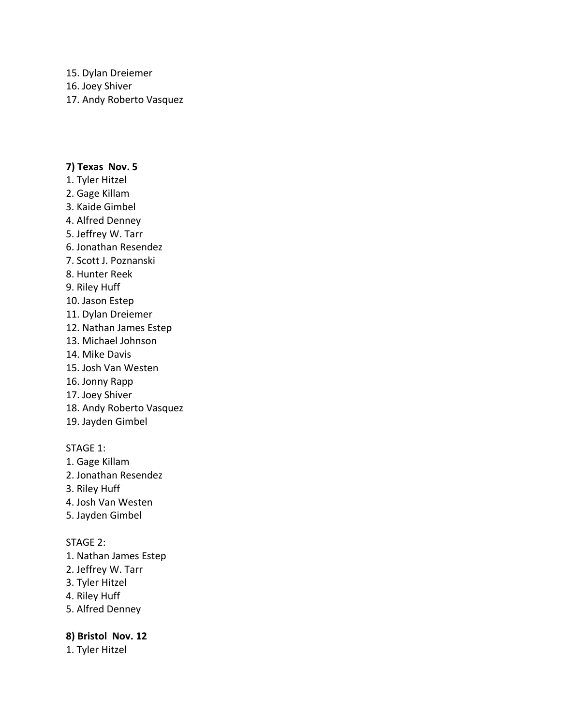15. Dylan Dreiemer

16. Joey Shiver

17. Andy Roberto Vasquez

### **7) Texas Nov. 5**

- 1. Tyler Hitzel
- 2. Gage Killam
- 3. Kaide Gimbel
- 4. Alfred Denney
- 5. Jeffrey W. Tarr
- 6. Jonathan Resendez
- 7. Scott J. Poznanski
- 8. Hunter Reek
- 9. Riley Huff
- 10. Jason Estep
- 11. Dylan Dreiemer
- 12. Nathan James Estep
- 13. Michael Johnson
- 14. Mike Davis
- 15. Josh Van Westen
- 16. Jonny Rapp
- 17. Joey Shiver
- 18. Andy Roberto Vasquez
- 19. Jayden Gimbel

# STAGE 1:

- 1. Gage Killam
- 2. Jonathan Resendez
- 3. Riley Huff
- 4. Josh Van Westen
- 5. Jayden Gimbel

### STAGE 2:

- 1. Nathan James Estep
- 2. Jeffrey W. Tarr
- 3. Tyler Hitzel
- 4. Riley Huff
- 5. Alfred Denney

# **8) Bristol Nov. 12**

1. Tyler Hitzel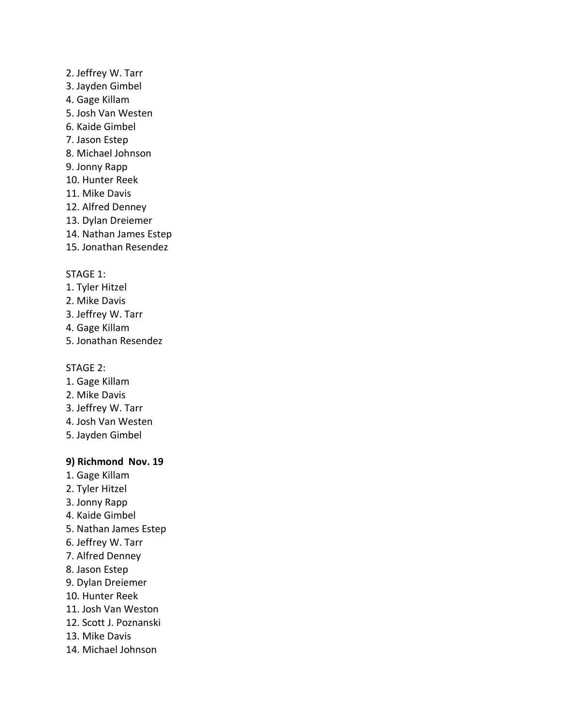- 2. Jeffrey W. Tarr
- 3. Jayden Gimbel
- 4. Gage Killam
- 5. Josh Van Westen
- 6. Kaide Gimbel
- 7. Jason Estep
- 8. Michael Johnson
- 9. Jonny Rapp
- 10. Hunter Reek
- 11. Mike Davis
- 12. Alfred Denney
- 13. Dylan Dreiemer
- 14. Nathan James Estep
- 15. Jonathan Resendez

# STAGE 1:

- 1. Tyler Hitzel
- 2. Mike Davis
- 3. Jeffrey W. Tarr
- 4. Gage Killam
- 5. Jonathan Resendez

### STAGE 2:

- 1. Gage Killam
- 2. Mike Davis
- 3. Jeffrey W. Tarr
- 4. Josh Van Westen
- 5. Jayden Gimbel

# **9) Richmond Nov. 19**

- 1. Gage Killam
- 2. Tyler Hitzel
- 3. Jonny Rapp
- 4. Kaide Gimbel
- 5. Nathan James Estep
- 6. Jeffrey W. Tarr
- 7. Alfred Denney
- 8. Jason Estep
- 9. Dylan Dreiemer
- 10. Hunter Reek
- 11. Josh Van Weston
- 12. Scott J. Poznanski
- 13. Mike Davis
- 14. Michael Johnson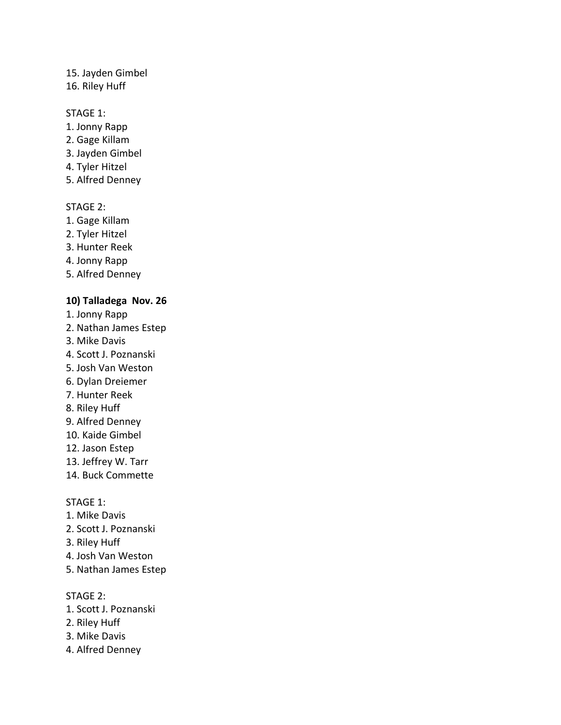### 15. Jayden Gimbel

#### 16. Riley Huff

#### STAGE 1:

- 1. Jonny Rapp
- 2. Gage Killam
- 3. Jayden Gimbel
- 4. Tyler Hitzel
- 5. Alfred Denney

### STAGE 2:

- 1. Gage Killam
- 2. Tyler Hitzel
- 3. Hunter Reek
- 4. Jonny Rapp
- 5. Alfred Denney

#### **10) Talladega Nov. 26**

- 1. Jonny Rapp
- 2. Nathan James Estep
- 3. Mike Davis
- 4. Scott J. Poznanski
- 5. Josh Van Weston
- 6. Dylan Dreiemer
- 7. Hunter Reek
- 8. Riley Huff
- 9. Alfred Denney
- 10. Kaide Gimbel
- 12. Jason Estep
- 13. Jeffrey W. Tarr
- 14. Buck Commette

#### STAGE 1:

- 1. Mike Davis
- 2. Scott J. Poznanski
- 3. Riley Huff
- 4. Josh Van Weston
- 5. Nathan James Estep

- 1. Scott J. Poznanski
- 2. Riley Huff
- 3. Mike Davis
- 4. Alfred Denney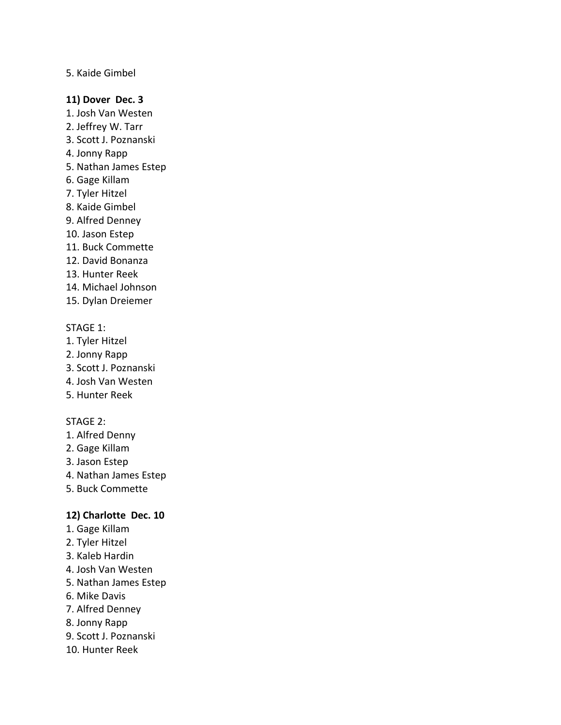#### 5. Kaide Gimbel

#### **11) Dover Dec. 3**

- 1. Josh Van Westen
- 2. Jeffrey W. Tarr
- 3. Scott J. Poznanski
- 4. Jonny Rapp
- 5. Nathan James Estep
- 6. Gage Killam
- 7. Tyler Hitzel
- 8. Kaide Gimbel
- 9. Alfred Denney
- 10. Jason Estep
- 11. Buck Commette
- 12. David Bonanza
- 13. Hunter Reek
- 14. Michael Johnson
- 15. Dylan Dreiemer

### STAGE 1:

- 1. Tyler Hitzel
- 2. Jonny Rapp
- 3. Scott J. Poznanski
- 4. Josh Van Westen
- 5. Hunter Reek

#### STAGE 2:

- 1. Alfred Denny
- 2. Gage Killam
- 3. Jason Estep
- 4. Nathan James Estep
- 5. Buck Commette

#### **12) Charlotte Dec. 10**

- 1. Gage Killam
- 2. Tyler Hitzel
- 3. Kaleb Hardin
- 4. Josh Van Westen
- 5. Nathan James Estep
- 6. Mike Davis
- 7. Alfred Denney
- 8. Jonny Rapp
- 9. Scott J. Poznanski
- 10. Hunter Reek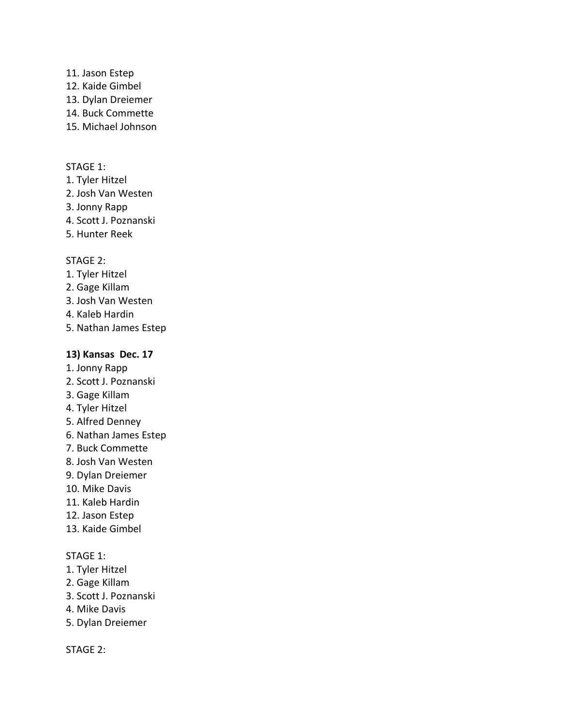- 11. Jason Estep
- 12. Kaide Gimbel
- 13. Dylan Dreiemer
- 14. Buck Commette
- 15. Michael Johnson

#### STAGE 1:

- 1. Tyler Hitzel
- 2. Josh Van Westen
- 3. Jonny Rapp
- 4. Scott J. Poznanski
- 5. Hunter Reek

### STAGE 2:

- 1. Tyler Hitzel
- 2. Gage Killam
- 3. Josh Van Westen
- 4. Kaleb Hardin
- 5. Nathan James Estep

### **13) Kansas Dec. 17**

- 1. Jonny Rapp
- 2. Scott J. Poznanski
- 3. Gage Killam
- 4. Tyler Hitzel
- 5. Alfred Denney
- 6. Nathan James Estep
- 7. Buck Commette
- 8. Josh Van Westen
- 9. Dylan Dreiemer
- 10. Mike Davis
- 11. Kaleb Hardin
- 12. Jason Estep
- 13. Kaide Gimbel

### STAGE 1:

- 1. Tyler Hitzel
- 2. Gage Killam
- 3. Scott J. Poznanski
- 4. Mike Davis
- 5. Dylan Dreiemer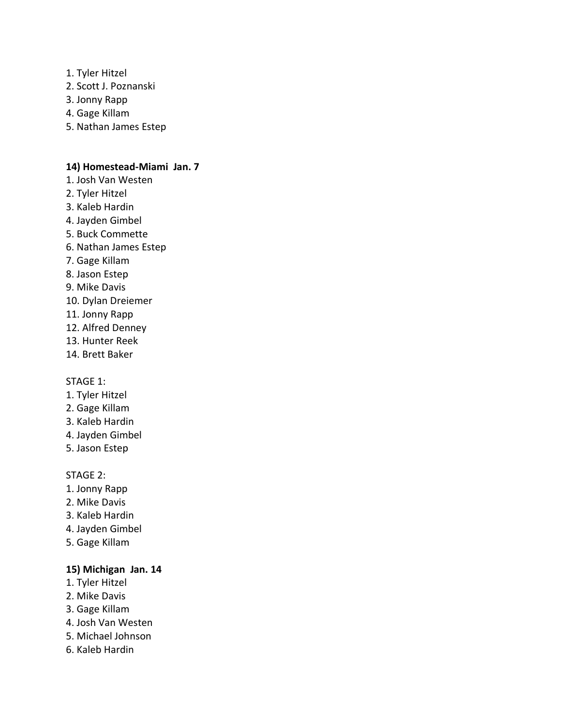- 1. Tyler Hitzel
- 2. Scott J. Poznanski
- 3. Jonny Rapp
- 4. Gage Killam
- 5. Nathan James Estep

#### **14) Homestead-Miami Jan. 7**

- 1. Josh Van Westen
- 2. Tyler Hitzel
- 3. Kaleb Hardin
- 4. Jayden Gimbel
- 5. Buck Commette
- 6. Nathan James Estep
- 7. Gage Killam
- 8. Jason Estep
- 9. Mike Davis
- 10. Dylan Dreiemer
- 11. Jonny Rapp
- 12. Alfred Denney
- 13. Hunter Reek
- 14. Brett Baker

#### STAGE 1:

- 1. Tyler Hitzel
- 2. Gage Killam
- 3. Kaleb Hardin
- 4. Jayden Gimbel
- 5. Jason Estep

#### STAGE 2:

- 1. Jonny Rapp
- 2. Mike Davis
- 3. Kaleb Hardin
- 4. Jayden Gimbel
- 5. Gage Killam

# **15) Michigan Jan. 14**

- 1. Tyler Hitzel
- 2. Mike Davis
- 3. Gage Killam
- 4. Josh Van Westen
- 5. Michael Johnson
- 6. Kaleb Hardin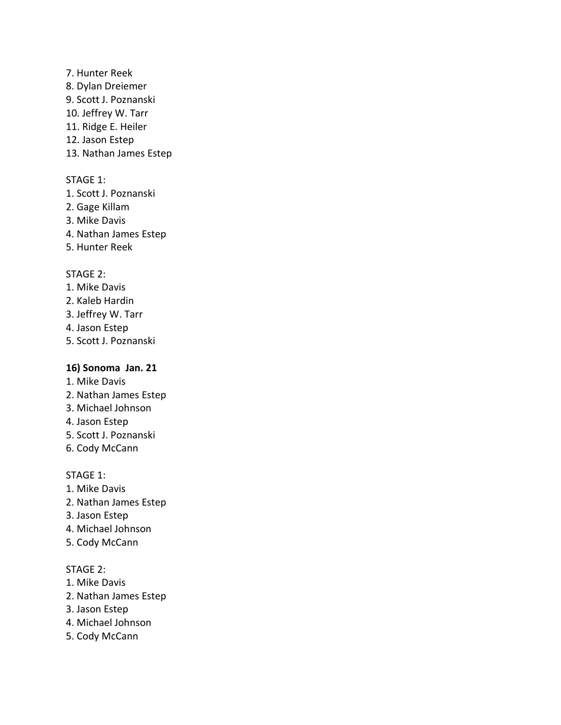- 7. Hunter Reek
- 8. Dylan Dreiemer
- 9. Scott J. Poznanski
- 10. Jeffrey W. Tarr
- 11. Ridge E. Heiler
- 12. Jason Estep
- 13. Nathan James Estep

### STAGE 1:

- 1. Scott J. Poznanski
- 2. Gage Killam
- 3. Mike Davis
- 4. Nathan James Estep
- 5. Hunter Reek

### STAGE 2:

- 1. Mike Davis
- 2. Kaleb Hardin
- 3. Jeffrey W. Tarr
- 4. Jason Estep
- 5. Scott J. Poznanski

#### **16) Sonoma Jan. 21**

- 1. Mike Davis
- 2. Nathan James Estep
- 3. Michael Johnson
- 4. Jason Estep
- 5. Scott J. Poznanski
- 6. Cody McCann

### STAGE 1:

- 1. Mike Davis
- 2. Nathan James Estep
- 3. Jason Estep
- 4. Michael Johnson
- 5. Cody McCann

- 1. Mike Davis
- 2. Nathan James Estep
- 3. Jason Estep
- 4. Michael Johnson
- 5. Cody McCann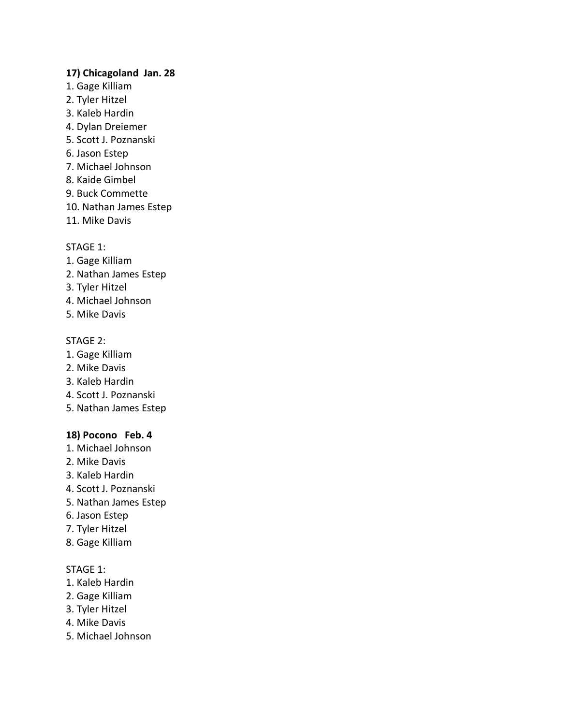### **17) Chicagoland Jan. 28**

- 1. Gage Killiam
- 2. Tyler Hitzel
- 3. Kaleb Hardin
- 4. Dylan Dreiemer
- 5. Scott J. Poznanski
- 6. Jason Estep
- 7. Michael Johnson
- 8. Kaide Gimbel
- 9. Buck Commette
- 10. Nathan James Estep
- 11. Mike Davis

# STAGE 1:

- 1. Gage Killiam
- 2. Nathan James Estep
- 3. Tyler Hitzel
- 4. Michael Johnson
- 5. Mike Davis

# STAGE 2:

- 1. Gage Killiam
- 2. Mike Davis
- 3. Kaleb Hardin
- 4. Scott J. Poznanski
- 5. Nathan James Estep

# **18) Pocono Feb. 4**

- 1. Michael Johnson
- 2. Mike Davis
- 3. Kaleb Hardin
- 4. Scott J. Poznanski
- 5. Nathan James Estep
- 6. Jason Estep
- 7. Tyler Hitzel
- 8. Gage Killiam

# STAGE 1:

- 1. Kaleb Hardin
- 2. Gage Killiam
- 3. Tyler Hitzel
- 4. Mike Davis
- 5. Michael Johnson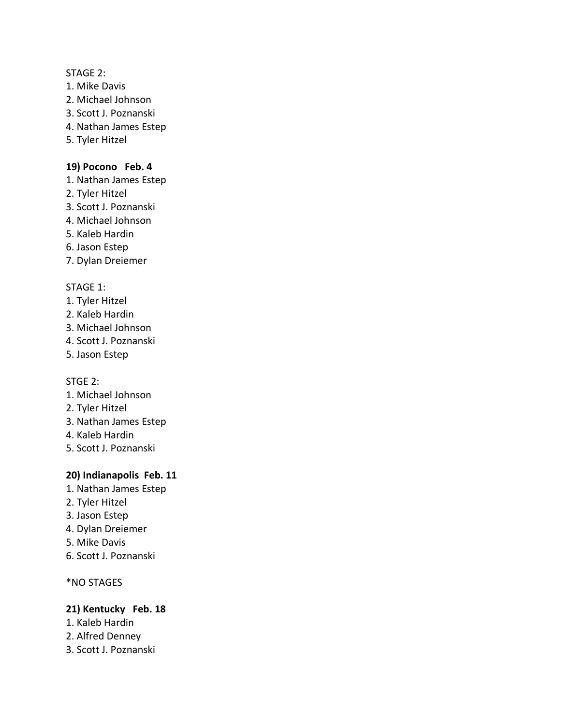#### STAGE 2:

- 1. Mike Davis
- 2. Michael Johnson
- 3. Scott J. Poznanski
- 4. Nathan James Estep
- 5. Tyler Hitzel

# **19) Pocono Feb. 4**

- 1. Nathan James Estep
- 2. Tyler Hitzel
- 3. Scott J. Poznanski
- 4. Michael Johnson
- 5. Kaleb Hardin
- 6. Jason Estep
- 7. Dylan Dreiemer

### STAGE 1:

- 1. Tyler Hitzel
- 2. Kaleb Hardin
- 3. Michael Johnson
- 4. Scott J. Poznanski
- 5. Jason Estep

STGE 2:

- 1. Michael Johnson
- 2. Tyler Hitzel
- 3. Nathan James Estep
- 4. Kaleb Hardin
- 5. Scott J. Poznanski

# **20) Indianapolis Feb. 11**

- 1. Nathan James Estep
- 2. Tyler Hitzel
- 3. Jason Estep
- 4. Dylan Dreiemer
- 5. Mike Davis
- 6. Scott J. Poznanski

\*NO STAGES

# **21) Kentucky Feb. 18**

- 1. Kaleb Hardin
- 2. Alfred Denney
- 3. Scott J. Poznanski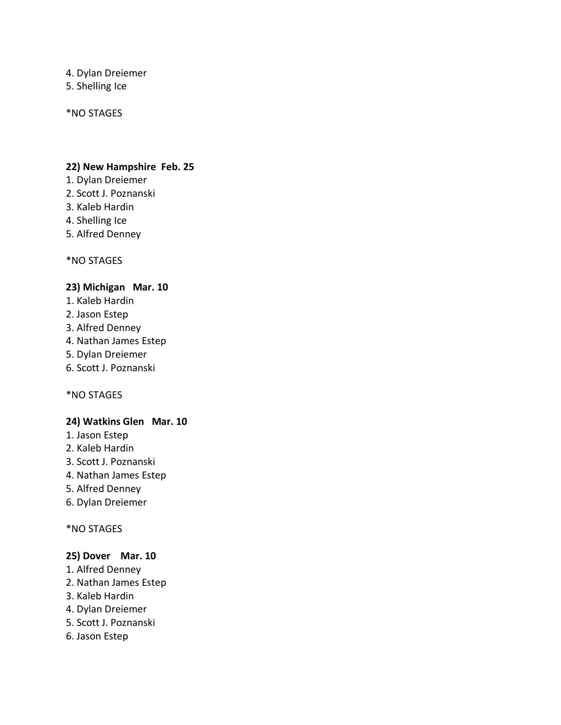4. Dylan Dreiemer

5. Shelling Ice

\*NO STAGES

### **22) New Hampshire Feb. 25**

- 1. Dylan Dreiemer
- 2. Scott J. Poznanski
- 3. Kaleb Hardin
- 4. Shelling Ice
- 5. Alfred Denney

\*NO STAGES

# **23) Michigan Mar. 10**

- 1. Kaleb Hardin
- 2. Jason Estep
- 3. Alfred Denney
- 4. Nathan James Estep
- 5. Dylan Dreiemer
- 6. Scott J. Poznanski

\*NO STAGES

# **24) Watkins Glen Mar. 10**

- 1. Jason Estep
- 2. Kaleb Hardin
- 3. Scott J. Poznanski
- 4. Nathan James Estep
- 5. Alfred Denney
- 6. Dylan Dreiemer

### \*NO STAGES

### **25) Dover Mar. 10**

- 1. Alfred Denney
- 2. Nathan James Estep
- 3. Kaleb Hardin
- 4. Dylan Dreiemer
- 5. Scott J. Poznanski
- 6. Jason Estep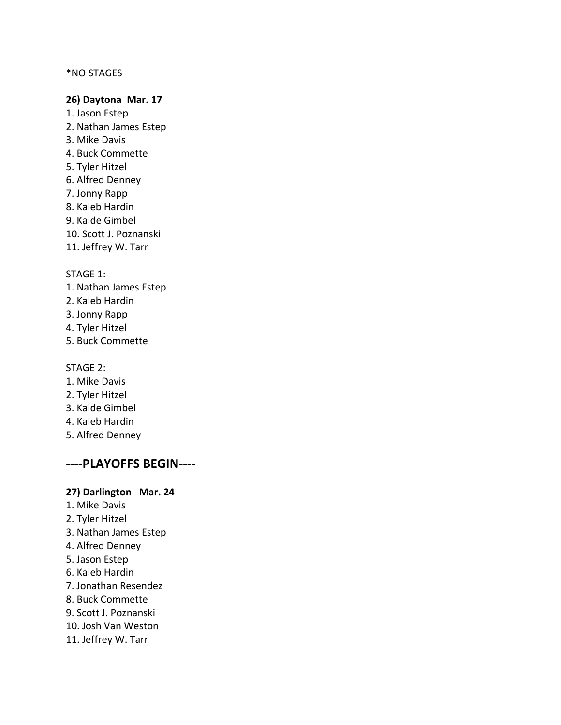#### \*NO STAGES

#### **26) Daytona Mar. 17**

- 1. Jason Estep 2. Nathan James Estep 3. Mike Davis 4. Buck Commette 5. Tyler Hitzel 6. Alfred Denney 7. Jonny Rapp 8. Kaleb Hardin 9. Kaide Gimbel
- 10. Scott J. Poznanski
- 11. Jeffrey W. Tarr

#### STAGE 1:

- 1. Nathan James Estep
- 2. Kaleb Hardin
- 3. Jonny Rapp
- 4. Tyler Hitzel
- 5. Buck Commette

#### STAGE 2:

- 1. Mike Davis
- 2. Tyler Hitzel
- 3. Kaide Gimbel
- 4. Kaleb Hardin
- 5. Alfred Denney

# **----PLAYOFFS BEGIN----**

#### **27) Darlington Mar. 24**

- 1. Mike Davis
- 2. Tyler Hitzel
- 3. Nathan James Estep
- 4. Alfred Denney
- 5. Jason Estep
- 6. Kaleb Hardin
- 7. Jonathan Resendez
- 8. Buck Commette
- 9. Scott J. Poznanski
- 10. Josh Van Weston
- 11. Jeffrey W. Tarr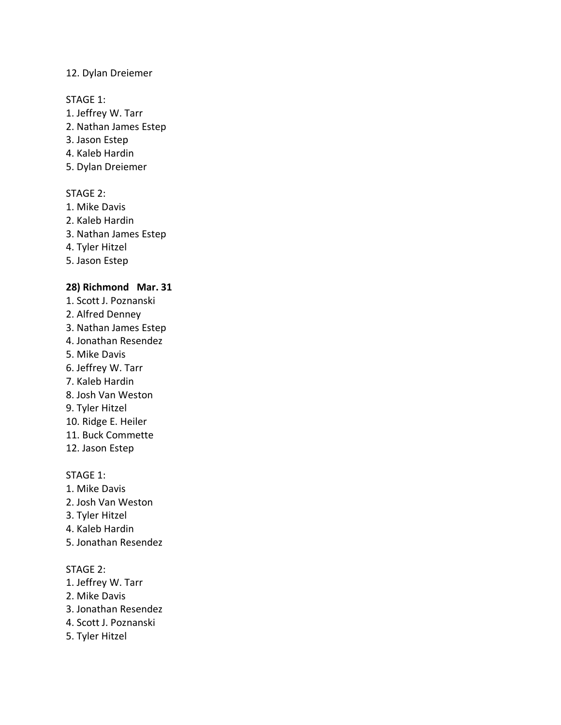### 12. Dylan Dreiemer

#### STAGE 1:

- 1. Jeffrey W. Tarr
- 2. Nathan James Estep
- 3. Jason Estep
- 4. Kaleb Hardin
- 5. Dylan Dreiemer

### STAGE 2:

- 1. Mike Davis
- 2. Kaleb Hardin
- 3. Nathan James Estep
- 4. Tyler Hitzel
- 5. Jason Estep

### **28) Richmond Mar. 31**

- 1. Scott J. Poznanski
- 2. Alfred Denney
- 3. Nathan James Estep
- 4. Jonathan Resendez
- 5. Mike Davis
- 6. Jeffrey W. Tarr
- 7. Kaleb Hardin
- 8. Josh Van Weston
- 9. Tyler Hitzel
- 10. Ridge E. Heiler
- 11. Buck Commette
- 12. Jason Estep

### STAGE 1:

- 1. Mike Davis
- 2. Josh Van Weston
- 3. Tyler Hitzel
- 4. Kaleb Hardin
- 5. Jonathan Resendez

- 1. Jeffrey W. Tarr
- 2. Mike Davis
- 3. Jonathan Resendez
- 4. Scott J. Poznanski
- 5. Tyler Hitzel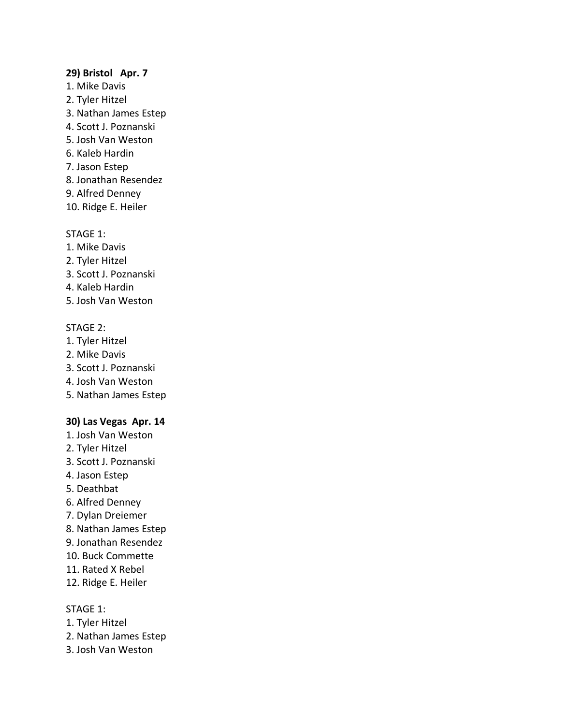#### **29) Bristol Apr. 7**

- 1. Mike Davis
- 2. Tyler Hitzel
- 3. Nathan James Estep
- 4. Scott J. Poznanski
- 5. Josh Van Weston
- 6. Kaleb Hardin
- 7. Jason Estep
- 8. Jonathan Resendez
- 9. Alfred Denney
- 10. Ridge E. Heiler

# STAGE 1:

- 1. Mike Davis
- 2. Tyler Hitzel
- 3. Scott J. Poznanski
- 4. Kaleb Hardin
- 5. Josh Van Weston

# STAGE 2:

- 1. Tyler Hitzel
- 2. Mike Davis
- 3. Scott J. Poznanski
- 4. Josh Van Weston
- 5. Nathan James Estep

# **30) Las Vegas Apr. 14**

- 1. Josh Van Weston
- 2. Tyler Hitzel
- 3. Scott J. Poznanski
- 4. Jason Estep
- 5. Deathbat
- 6. Alfred Denney
- 7. Dylan Dreiemer
- 8. Nathan James Estep
- 9. Jonathan Resendez
- 10. Buck Commette
- 11. Rated X Rebel
- 12. Ridge E. Heiler

# STAGE 1:

- 1. Tyler Hitzel
- 2. Nathan James Estep
- 3. Josh Van Weston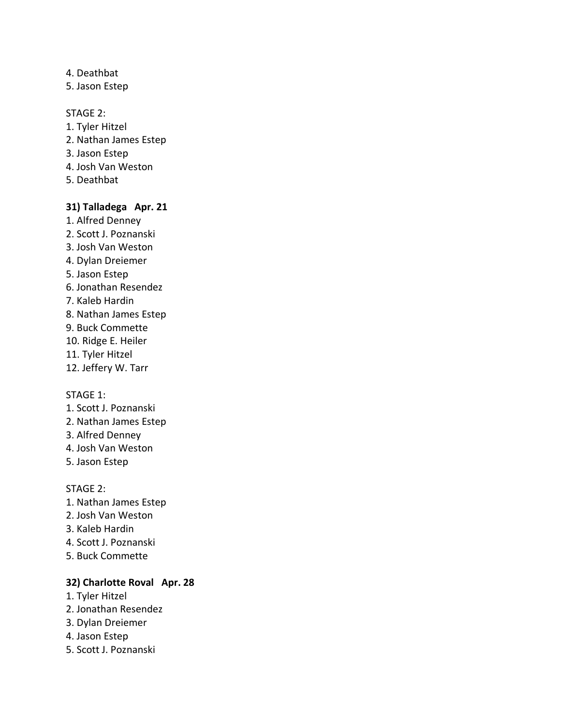- 4. Deathbat
- 5. Jason Estep

#### STAGE 2:

- 1. Tyler Hitzel
- 2. Nathan James Estep
- 3. Jason Estep
- 4. Josh Van Weston
- 5. Deathbat

#### **31) Talladega Apr. 21**

- 1. Alfred Denney 2. Scott J. Poznanski 3. Josh Van Weston 4. Dylan Dreiemer 5. Jason Estep 6. Jonathan Resendez 7. Kaleb Hardin 8. Nathan James Estep 9. Buck Commette 10. Ridge E. Heiler 11. Tyler Hitzel
- 12. Jeffery W. Tarr

### STAGE 1:

- 1. Scott J. Poznanski
- 2. Nathan James Estep
- 3. Alfred Denney
- 4. Josh Van Weston
- 5. Jason Estep

#### STAGE 2:

- 1. Nathan James Estep
- 2. Josh Van Weston
- 3. Kaleb Hardin
- 4. Scott J. Poznanski
- 5. Buck Commette

### **32) Charlotte Roval Apr. 28**

- 1. Tyler Hitzel
- 2. Jonathan Resendez
- 3. Dylan Dreiemer
- 4. Jason Estep
- 5. Scott J. Poznanski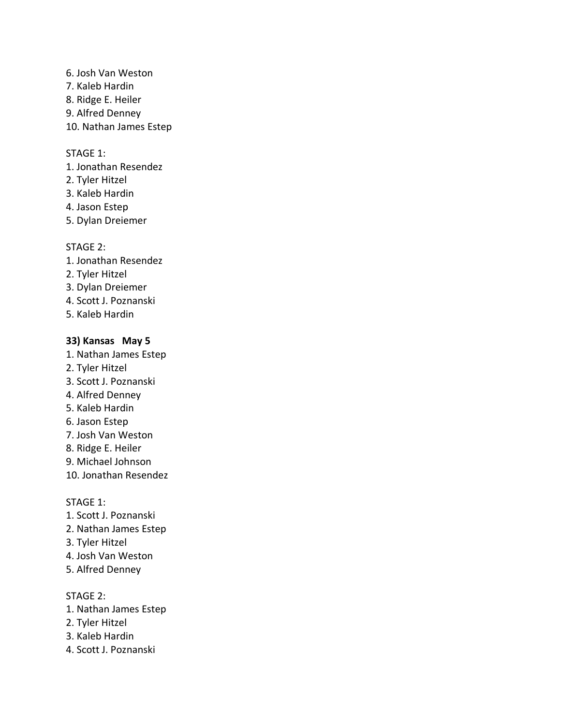- 6. Josh Van Weston 7. Kaleb Hardin 8. Ridge E. Heiler
- 9. Alfred Denney
- 10. Nathan James Estep

### STAGE 1:

- 1. Jonathan Resendez
- 2. Tyler Hitzel
- 3. Kaleb Hardin
- 4. Jason Estep
- 5. Dylan Dreiemer

#### STAGE 2:

- 1. Jonathan Resendez
- 2. Tyler Hitzel
- 3. Dylan Dreiemer
- 4. Scott J. Poznanski
- 5. Kaleb Hardin

### **33) Kansas May 5**

- 1. Nathan James Estep
- 2. Tyler Hitzel
- 3. Scott J. Poznanski
- 4. Alfred Denney
- 5. Kaleb Hardin
- 6. Jason Estep
- 7. Josh Van Weston
- 8. Ridge E. Heiler
- 9. Michael Johnson
- 10. Jonathan Resendez

#### STAGE 1:

- 1. Scott J. Poznanski
- 2. Nathan James Estep
- 3. Tyler Hitzel
- 4. Josh Van Weston
- 5. Alfred Denney

- 1. Nathan James Estep
- 2. Tyler Hitzel
- 3. Kaleb Hardin
- 4. Scott J. Poznanski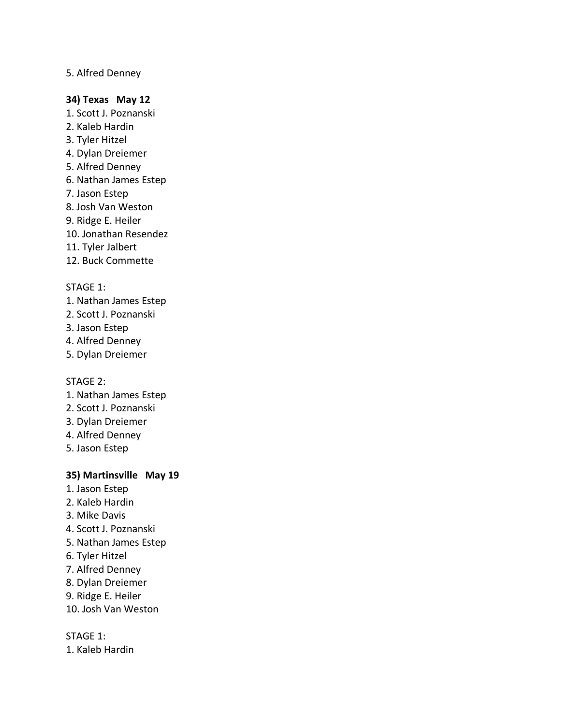### 5. Alfred Denney

#### **34) Texas May 12**

- 1. Scott J. Poznanski
- 2. Kaleb Hardin
- 3. Tyler Hitzel
- 4. Dylan Dreiemer
- 5. Alfred Denney
- 6. Nathan James Estep
- 7. Jason Estep
- 8. Josh Van Weston
- 9. Ridge E. Heiler
- 10. Jonathan Resendez
- 11. Tyler Jalbert
- 12. Buck Commette

#### STAGE 1:

- 1. Nathan James Estep
- 2. Scott J. Poznanski
- 3. Jason Estep
- 4. Alfred Denney
- 5. Dylan Dreiemer

#### STAGE 2:

- 1. Nathan James Estep
- 2. Scott J. Poznanski
- 3. Dylan Dreiemer
- 4. Alfred Denney
- 5. Jason Estep

### **35) Martinsville May 19**

- 1. Jason Estep
- 2. Kaleb Hardin
- 3. Mike Davis
- 4. Scott J. Poznanski
- 5. Nathan James Estep
- 6. Tyler Hitzel
- 7. Alfred Denney
- 8. Dylan Dreiemer
- 9. Ridge E. Heiler
- 10. Josh Van Weston

### STAGE 1:

1. Kaleb Hardin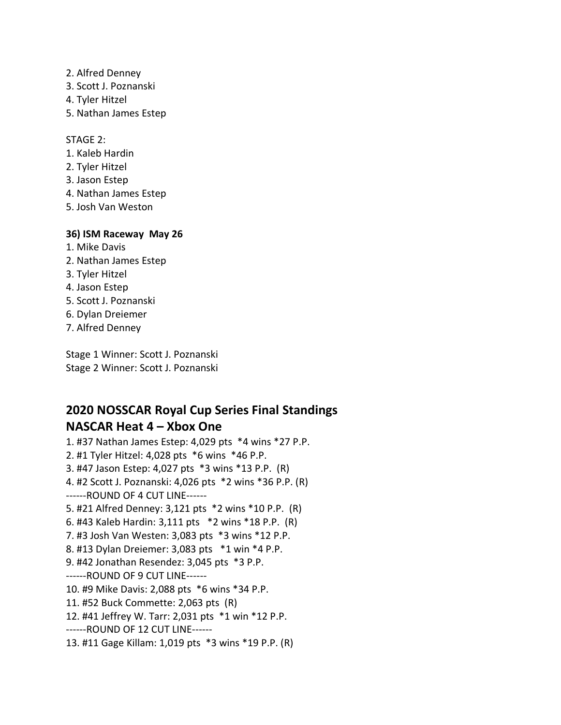- 2. Alfred Denney
- 3. Scott J. Poznanski
- 4. Tyler Hitzel
- 5. Nathan James Estep

STAGE 2:

- 1. Kaleb Hardin
- 2. Tyler Hitzel
- 3. Jason Estep
- 4. Nathan James Estep
- 5. Josh Van Weston

#### **36) ISM Raceway May 26**

- 1. Mike Davis
- 2. Nathan James Estep
- 3. Tyler Hitzel
- 4. Jason Estep
- 5. Scott J. Poznanski
- 6. Dylan Dreiemer
- 7. Alfred Denney

Stage 1 Winner: Scott J. Poznanski Stage 2 Winner: Scott J. Poznanski

# **2020 NOSSCAR Royal Cup Series Final Standings NASCAR Heat 4 – Xbox One**

1. #37 Nathan James Estep: 4,029 pts \*4 wins \*27 P.P. 2. #1 Tyler Hitzel: 4,028 pts \*6 wins \*46 P.P. 3. #47 Jason Estep: 4,027 pts \*3 wins \*13 P.P. (R) 4. #2 Scott J. Poznanski: 4,026 pts \*2 wins \*36 P.P. (R) ------ROUND OF 4 CUT LINE------ 5. #21 Alfred Denney: 3,121 pts \*2 wins \*10 P.P. (R) 6. #43 Kaleb Hardin: 3,111 pts \*2 wins \*18 P.P. (R) 7. #3 Josh Van Westen: 3,083 pts \*3 wins \*12 P.P. 8. #13 Dylan Dreiemer: 3,083 pts \*1 win \*4 P.P. 9. #42 Jonathan Resendez: 3,045 pts \*3 P.P. ------ROUND OF 9 CUT LINE------ 10. #9 Mike Davis: 2,088 pts \*6 wins \*34 P.P. 11. #52 Buck Commette: 2,063 pts (R) 12. #41 Jeffrey W. Tarr: 2,031 pts \*1 win \*12 P.P. ------ROUND OF 12 CUT LINE------ 13. #11 Gage Killam: 1,019 pts \*3 wins \*19 P.P. (R)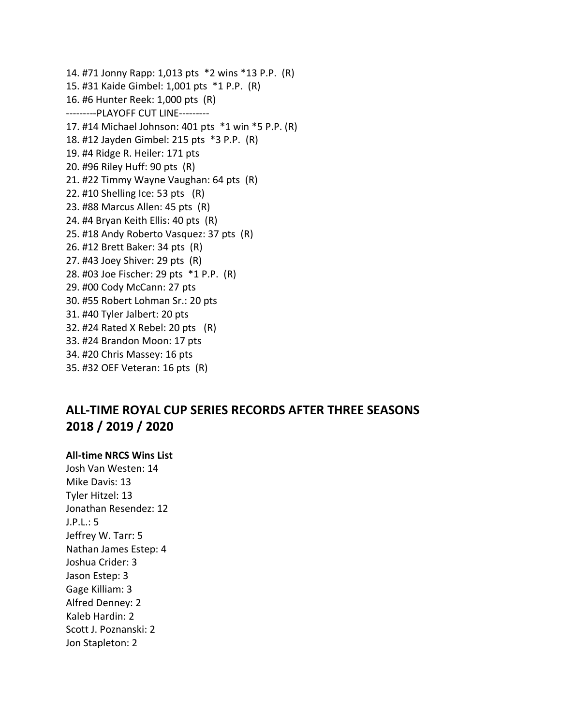14. #71 Jonny Rapp: 1,013 pts \*2 wins \*13 P.P. (R) 15. #31 Kaide Gimbel: 1,001 pts \*1 P.P. (R) 16. #6 Hunter Reek: 1,000 pts (R) ---------PLAYOFF CUT LINE--------- 17. #14 Michael Johnson: 401 pts \*1 win \*5 P.P. (R) 18. #12 Jayden Gimbel: 215 pts \*3 P.P. (R) 19. #4 Ridge R. Heiler: 171 pts 20. #96 Riley Huff: 90 pts (R) 21. #22 Timmy Wayne Vaughan: 64 pts (R) 22. #10 Shelling Ice: 53 pts (R) 23. #88 Marcus Allen: 45 pts (R) 24. #4 Bryan Keith Ellis: 40 pts (R) 25. #18 Andy Roberto Vasquez: 37 pts (R) 26. #12 Brett Baker: 34 pts (R) 27. #43 Joey Shiver: 29 pts (R) 28. #03 Joe Fischer: 29 pts \*1 P.P. (R) 29. #00 Cody McCann: 27 pts 30. #55 Robert Lohman Sr.: 20 pts 31. #40 Tyler Jalbert: 20 pts 32. #24 Rated X Rebel: 20 pts (R) 33. #24 Brandon Moon: 17 pts 34. #20 Chris Massey: 16 pts 35. #32 OEF Veteran: 16 pts (R)

# **ALL-TIME ROYAL CUP SERIES RECORDS AFTER THREE SEASONS 2018 / 2019 / 2020**

#### **All-time NRCS Wins List**

Josh Van Westen: 14 Mike Davis: 13 Tyler Hitzel: 13 Jonathan Resendez: 12 J.P.L.: 5 Jeffrey W. Tarr: 5 Nathan James Estep: 4 Joshua Crider: 3 Jason Estep: 3 Gage Killiam: 3 Alfred Denney: 2 Kaleb Hardin: 2 Scott J. Poznanski: 2 Jon Stapleton: 2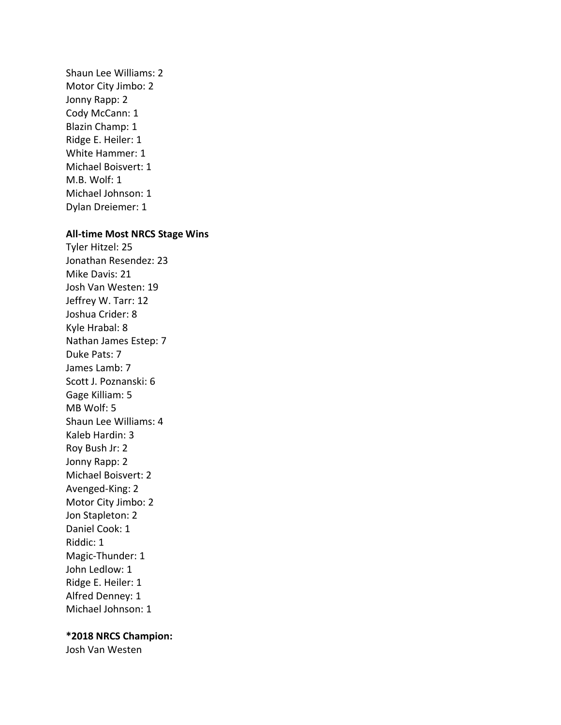Shaun Lee Williams: 2 Motor City Jimbo: 2 Jonny Rapp: 2 Cody McCann: 1 Blazin Champ: 1 Ridge E. Heiler: 1 White Hammer: 1 Michael Boisvert: 1 M.B. Wolf: 1 Michael Johnson: 1 Dylan Dreiemer: 1

#### **All-time Most NRCS Stage Wins**

Tyler Hitzel: 25 Jonathan Resendez: 23 Mike Davis: 21 Josh Van Westen: 19 Jeffrey W. Tarr: 12 Joshua Crider: 8 Kyle Hrabal: 8 Nathan James Estep: 7 Duke Pats: 7 James Lamb: 7 Scott J. Poznanski: 6 Gage Killiam: 5 MB Wolf: 5 Shaun Lee Williams: 4 Kaleb Hardin: 3 Roy Bush Jr: 2 Jonny Rapp: 2 Michael Boisvert: 2 Avenged-King: 2 Motor City Jimbo: 2 Jon Stapleton: 2 Daniel Cook: 1 Riddic: 1 Magic-Thunder: 1 John Ledlow: 1 Ridge E. Heiler: 1 Alfred Denney: 1 Michael Johnson: 1

#### **\*2018 NRCS Champion:**

Josh Van Westen